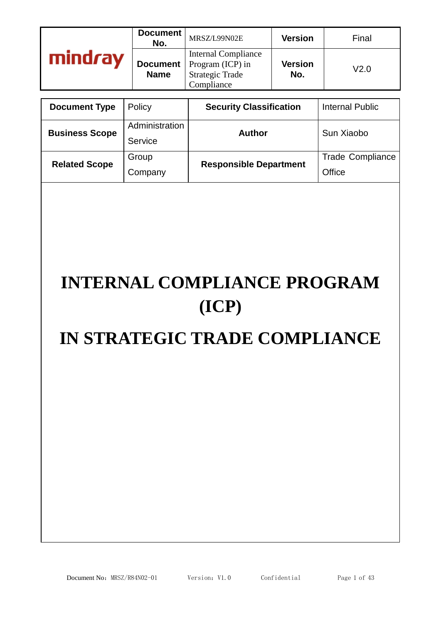|      | Document<br>No.                | MRSZ/L99N02E                                                                           | <b>Version</b>        | Final |
|------|--------------------------------|----------------------------------------------------------------------------------------|-----------------------|-------|
| Irav | <b>Document</b><br><b>Name</b> | <b>Internal Compliance</b><br>Program (ICP) in<br><b>Strategic Trade</b><br>Compliance | <b>Version</b><br>No. | V2.0  |

| <b>Document Type</b>  | Policy                    | <b>Security Classification</b> | Internal Public                   |
|-----------------------|---------------------------|--------------------------------|-----------------------------------|
| <b>Business Scope</b> | Administration<br>Service | Author                         | Sun Xiaobo                        |
| <b>Related Scope</b>  | Group<br>Company          | <b>Responsible Department</b>  | <b>Trade Compliance</b><br>Office |

# **INTERNAL COMPLIANCE PROGRAM (ICP)**

# **IN STRATEGIC TRADE COMPLIANCE**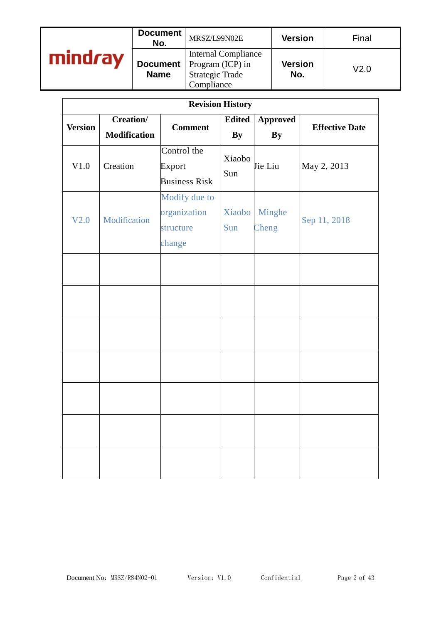|     | Document<br>No. | MRSZ/L99N02E                                                                                             | <b>Version</b>        | Final            |
|-----|-----------------|----------------------------------------------------------------------------------------------------------|-----------------------|------------------|
| rav | <b>Name</b>     | <b>Internal Compliance</b><br><b>Document</b>   Program (ICP) in<br><b>Strategic Trade</b><br>Compliance | <b>Version</b><br>No. | V <sub>2.0</sub> |

|                |                                          |                                                      | <b>Revision History</b>    |                              |                       |
|----------------|------------------------------------------|------------------------------------------------------|----------------------------|------------------------------|-----------------------|
| <b>Version</b> | <b>Creation</b> /<br><b>Modification</b> | <b>Comment</b>                                       | <b>Edited</b><br><b>By</b> | <b>Approved</b><br><b>By</b> | <b>Effective Date</b> |
| V1.0           | Creation                                 | Control the<br>Export<br><b>Business Risk</b>        | Xiaobo<br>Sun              | Jie Liu                      | May 2, 2013           |
| V2.0           | Modification                             | Modify due to<br>organization<br>structure<br>change | Xiaobo<br>Sun              | Minghe<br>Cheng              | Sep 11, 2018          |
|                |                                          |                                                      |                            |                              |                       |
|                |                                          |                                                      |                            |                              |                       |
|                |                                          |                                                      |                            |                              |                       |
|                |                                          |                                                      |                            |                              |                       |
|                |                                          |                                                      |                            |                              |                       |
|                |                                          |                                                      |                            |                              |                       |
|                |                                          |                                                      |                            |                              |                       |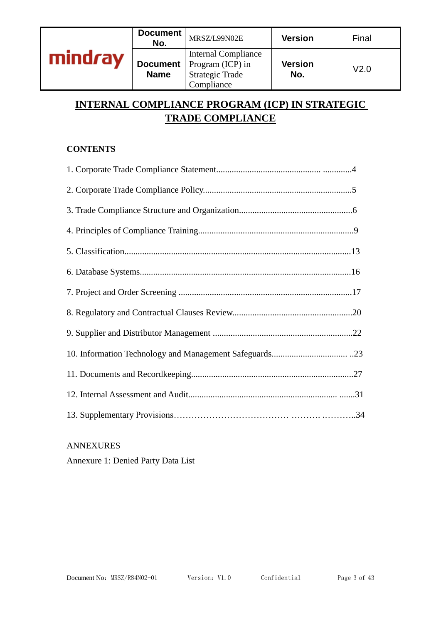|         | Document<br>No. | MRSZ/L99N02E                                                                                             | <b>Version</b>        | Final |
|---------|-----------------|----------------------------------------------------------------------------------------------------------|-----------------------|-------|
| mindray | <b>Name</b>     | <b>Internal Compliance</b><br><b>Document</b>   Program (ICP) in<br><b>Strategic Trade</b><br>Compliance | <b>Version</b><br>No. | V2.0  |

# **INTERNAL COMPLIANCE PROGRAM (ICP) IN STRATEGIC TRADE COMPLIANCE**

# **CONTENTS**

#### ANNEXURES

Annexure 1: Denied Party Data List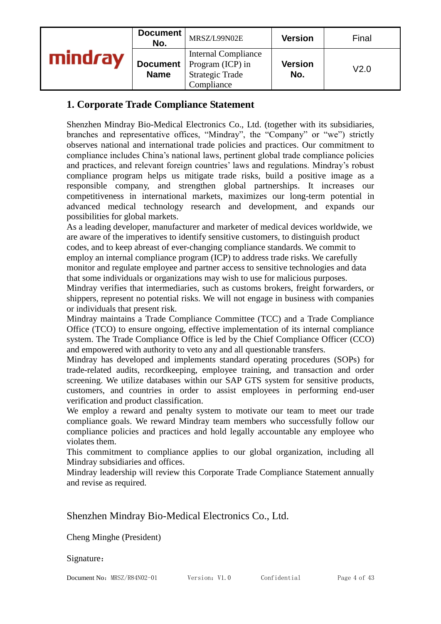|         | Document<br>No.                | MRSZ/L99N02E                                                                           | <b>Version</b>        | Final            |
|---------|--------------------------------|----------------------------------------------------------------------------------------|-----------------------|------------------|
| mindrav | <b>Document</b><br><b>Name</b> | <b>Internal Compliance</b><br>Program (ICP) in<br><b>Strategic Trade</b><br>Compliance | <b>Version</b><br>No. | V <sub>2.0</sub> |

# **1. Corporate Trade Compliance Statement**

Shenzhen Mindray Bio-Medical Electronics Co., Ltd. (together with its subsidiaries, branches and representative offices, "Mindray", the "Company" or "we") strictly observes national and international trade policies and practices. Our commitment to compliance includes China's national laws, pertinent global trade compliance policies and practices, and relevant foreign countries' laws and regulations. Mindray's robust compliance program helps us mitigate trade risks, build a positive image as a responsible company, and strengthen global partnerships. It increases our competitiveness in international markets, maximizes our long-term potential in advanced medical technology research and development, and expands our possibilities for global markets.

As a leading developer, manufacturer and marketer of medical devices worldwide, we are aware of the imperatives to identify sensitive customers, to distinguish product codes, and to keep abreast of ever-changing compliance standards. We commit to employ an internal compliance program (ICP) to address trade risks. We carefully monitor and regulate employee and partner access to sensitive technologies and data that some individuals or organizations may wish to use for malicious purposes.

Mindray verifies that intermediaries, such as customs brokers, freight forwarders, or shippers, represent no potential risks. We will not engage in business with companies or individuals that present risk.

Mindray maintains a Trade Compliance Committee (TCC) and a Trade Compliance Office (TCO) to ensure ongoing, effective implementation of its internal compliance system. The Trade Compliance Office is led by the Chief Compliance Officer (CCO) and empowered with authority to veto any and all questionable transfers.

Mindray has developed and implements standard operating procedures (SOPs) for trade-related audits, recordkeeping, employee training, and transaction and order screening. We utilize databases within our SAP GTS system for sensitive products, customers, and countries in order to assist employees in performing end-user verification and product classification.

We employ a reward and penalty system to motivate our team to meet our trade compliance goals. We reward Mindray team members who successfully follow our compliance policies and practices and hold legally accountable any employee who violates them.

This commitment to compliance applies to our global organization, including all Mindray subsidiaries and offices.

Mindray leadership will review this Corporate Trade Compliance Statement annually and revise as required.

Shenzhen Mindray Bio-Medical Electronics Co., Ltd.

Cheng Minghe (President)

Signature: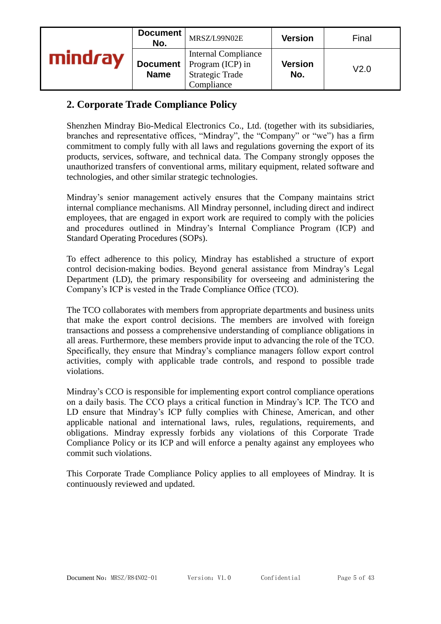|    | Document<br>No.                | MRSZ/L99N02E                                                                           | <b>Version</b>        | Final |
|----|--------------------------------|----------------------------------------------------------------------------------------|-----------------------|-------|
| ъv | <b>Document</b><br><b>Name</b> | <b>Internal Compliance</b><br>Program (ICP) in<br><b>Strategic Trade</b><br>Compliance | <b>Version</b><br>No. | V2.0  |

# **2. Corporate Trade Compliance Policy**

Shenzhen Mindray Bio-Medical Electronics Co., Ltd. (together with its subsidiaries, branches and representative offices, "Mindray", the "Company" or "we") has a firm commitment to comply fully with all laws and regulations governing the export of its products, services, software, and technical data. The Company strongly opposes the unauthorized transfers of conventional arms, military equipment, related software and technologies, and other similar strategic technologies.

Mindray's senior management actively ensures that the Company maintains strict internal compliance mechanisms. All Mindray personnel, including direct and indirect employees, that are engaged in export work are required to comply with the policies and procedures outlined in Mindray's Internal Compliance Program (ICP) and Standard Operating Procedures (SOPs).

To effect adherence to this policy, Mindray has established a structure of export control decision-making bodies. Beyond general assistance from Mindray's Legal Department (LD), the primary responsibility for overseeing and administering the Company's ICP is vested in the Trade Compliance Office (TCO).

The TCO collaborates with members from appropriate departments and business units that make the export control decisions. The members are involved with foreign transactions and possess a comprehensive understanding of compliance obligations in all areas. Furthermore, these members provide input to advancing the role of the TCO. Specifically, they ensure that Mindray's compliance managers follow export control activities, comply with applicable trade controls, and respond to possible trade violations.

Mindray's CCO is responsible for implementing export control compliance operations on a daily basis. The CCO plays a critical function in Mindray's ICP. The TCO and LD ensure that Mindray's ICP fully complies with Chinese, American, and other applicable national and international laws, rules, regulations, requirements, and obligations. Mindray expressly forbids any violations of this Corporate Trade Compliance Policy or its ICP and will enforce a penalty against any employees who commit such violations.

This Corporate Trade Compliance Policy applies to all employees of Mindray. It is continuously reviewed and updated.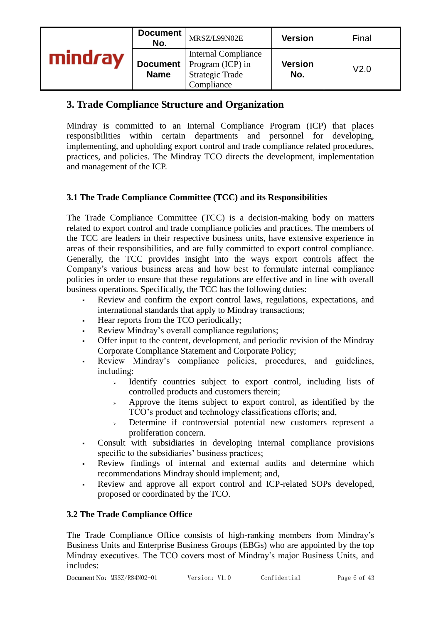|         | Document<br>No.                | MRSZ/L99N02E                                                                                  | <b>Version</b>        | Final |
|---------|--------------------------------|-----------------------------------------------------------------------------------------------|-----------------------|-------|
| mindray | <b>Document</b><br><b>Name</b> | <b>Internal Compliance</b><br>$\mid$ Program (ICP) in<br><b>Strategic Trade</b><br>Compliance | <b>Version</b><br>No. | V2.0  |

# **3. Trade Compliance Structure and Organization**

Mindray is committed to an Internal Compliance Program (ICP) that places responsibilities within certain departments and personnel for developing, implementing, and upholding export control and trade compliance related procedures, practices, and policies. The Mindray TCO directs the development, implementation and management of the ICP.

# **3.1 The Trade Compliance Committee (TCC) and its Responsibilities**

The Trade Compliance Committee (TCC) is a decision-making body on matters related to export control and trade compliance policies and practices. The members of the TCC are leaders in their respective business units, have extensive experience in areas of their responsibilities, and are fully committed to export control compliance. Generally, the TCC provides insight into the ways export controls affect the Company's various business areas and how best to formulate internal compliance policies in order to ensure that these regulations are effective and in line with overall business operations. Specifically, the TCC has the following duties:

- Review and confirm the export control laws, regulations, expectations, and international standards that apply to Mindray transactions;
- Hear reports from the TCO periodically;
- Review Mindray's overall compliance regulations;
- Offer input to the content, development, and periodic revision of the Mindray Corporate Compliance Statement and Corporate Policy;
- Review Mindray's compliance policies, procedures, and guidelines, including:
	- ➢ Identify countries subject to export control, including lists of controlled products and customers therein;
	- ➢ Approve the items subject to export control, as identified by the TCO's product and technology classifications efforts; and,
	- ➢ Determine if controversial potential new customers represent a proliferation concern.
- Consult with subsidiaries in developing internal compliance provisions specific to the subsidiaries' business practices;
- Review findings of internal and external audits and determine which recommendations Mindray should implement; and,
- Review and approve all export control and ICP-related SOPs developed, proposed or coordinated by the TCO.

#### **3.2 The Trade Compliance Office**

The Trade Compliance Office consists of high-ranking members from Mindray's Business Units and Enterprise Business Groups (EBGs) who are appointed by the top Mindray executives. The TCO covers most of Mindray's major Business Units, and includes: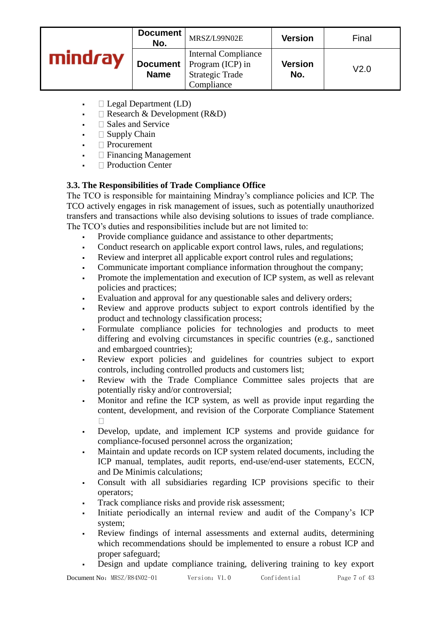|         | Document<br>No.                | MRSZ/L99N02E                                                                           | <b>Version</b> | Final            |
|---------|--------------------------------|----------------------------------------------------------------------------------------|----------------|------------------|
| mindrav | <b>Document</b><br><b>Name</b> | <b>Internal Compliance</b><br>Program (ICP) in<br><b>Strategic Trade</b><br>Compliance | Version<br>No. | V <sub>2.0</sub> |

- $\blacksquare$  Legal Department (LD)
- **•**  $\Box$  Research & Development (R&D)
- $\Box$  Sales and Service
- $\blacksquare$  Supply Chain
- Procurement
- Financing Management
- $\Box$  Production Center

# **3.3. The Responsibilities of Trade Compliance Office**

The TCO is responsible for maintaining Mindray's compliance policies and ICP. The TCO actively engages in risk management of issues, such as potentially unauthorized transfers and transactions while also devising solutions to issues of trade compliance. The TCO's duties and responsibilities include but are not limited to:

- Provide compliance guidance and assistance to other departments;
- Conduct research on applicable export control laws, rules, and regulations;
- Review and interpret all applicable export control rules and regulations;
- Communicate important compliance information throughout the company;
- Promote the implementation and execution of ICP system, as well as relevant policies and practices;
- Evaluation and approval for any questionable sales and delivery orders;
- Review and approve products subject to export controls identified by the product and technology classification process;
- Formulate compliance policies for technologies and products to meet differing and evolving circumstances in specific countries (e.g., sanctioned and embargoed countries);
- Review export policies and guidelines for countries subject to export controls, including controlled products and customers list;
- Review with the Trade Compliance Committee sales projects that are potentially risky and/or controversial;
- Monitor and refine the ICP system, as well as provide input regarding the content, development, and revision of the Corporate Compliance Statement  $\Box$
- Develop, update, and implement ICP systems and provide guidance for compliance-focused personnel across the organization;
- Maintain and update records on ICP system related documents, including the ICP manual, templates, audit reports, end-use/end-user statements, ECCN, and De Minimis calculations;
- Consult with all subsidiaries regarding ICP provisions specific to their operators;
- Track compliance risks and provide risk assessment;
- Initiate periodically an internal review and audit of the Company's ICP system;
- Review findings of internal assessments and external audits, determining which recommendations should be implemented to ensure a robust ICP and proper safeguard;
- Design and update compliance training, delivering training to key export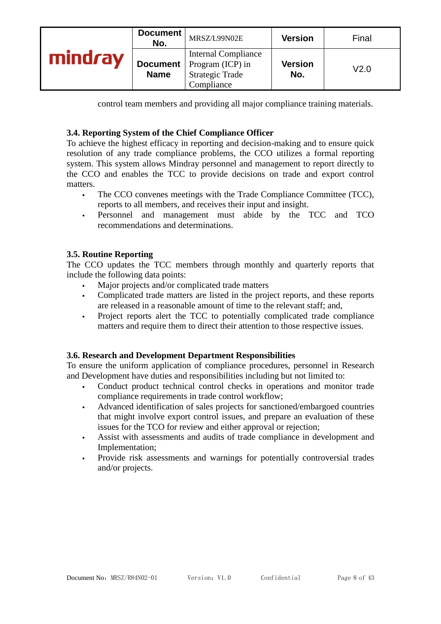|         | Document<br>No.                | MRSZ/L99N02E                                                                                  | <b>Version</b>        | Final            |
|---------|--------------------------------|-----------------------------------------------------------------------------------------------|-----------------------|------------------|
| mindrav | <b>Document</b><br><b>Name</b> | <b>Internal Compliance</b><br>$\mid$ Program (ICP) in<br><b>Strategic Trade</b><br>Compliance | <b>Version</b><br>No. | V <sub>2.0</sub> |

control team members and providing all major compliance training materials.

#### **3.4. Reporting System of the Chief Compliance Officer**

To achieve the highest efficacy in reporting and decision-making and to ensure quick resolution of any trade compliance problems, the CCO utilizes a formal reporting system. This system allows Mindray personnel and management to report directly to the CCO and enables the TCC to provide decisions on trade and export control matters.

- The CCO convenes meetings with the Trade Compliance Committee (TCC), reports to all members, and receives their input and insight.
- Personnel and management must abide by the TCC and TCO recommendations and determinations.

#### **3.5. Routine Reporting**

The CCO updates the TCC members through monthly and quarterly reports that include the following data points:

- Major projects and/or complicated trade matters
- Complicated trade matters are listed in the project reports, and these reports are released in a reasonable amount of time to the relevant staff; and,
- Project reports alert the TCC to potentially complicated trade compliance matters and require them to direct their attention to those respective issues.

#### **3.6. Research and Development Department Responsibilities**

To ensure the uniform application of compliance procedures, personnel in Research and Development have duties and responsibilities including but not limited to:

- Conduct product technical control checks in operations and monitor trade compliance requirements in trade control workflow;
- Advanced identification of sales projects for sanctioned/embargoed countries that might involve export control issues, and prepare an evaluation of these issues for the TCO for review and either approval or rejection;
- Assist with assessments and audits of trade compliance in development and Implementation;
- Provide risk assessments and warnings for potentially controversial trades and/or projects.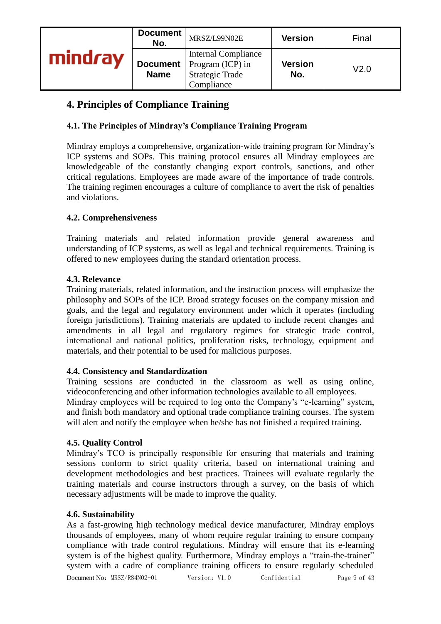|         | Document<br>No.                | MRSZ/L99N02E                                                                           | <b>Version</b>        | Final            |
|---------|--------------------------------|----------------------------------------------------------------------------------------|-----------------------|------------------|
| mindrav | <b>Document</b><br><b>Name</b> | <b>Internal Compliance</b><br>Program (ICP) in<br><b>Strategic Trade</b><br>Compliance | <b>Version</b><br>No. | V <sub>2.0</sub> |

# **4. Principles of Compliance Training**

# **4.1. The Principles of Mindray's Compliance Training Program**

Mindray employs a comprehensive, organization-wide training program for Mindray's ICP systems and SOPs. This training protocol ensures all Mindray employees are knowledgeable of the constantly changing export controls, sanctions, and other critical regulations. Employees are made aware of the importance of trade controls. The training regimen encourages a culture of compliance to avert the risk of penalties and violations.

#### **4.2. Comprehensiveness**

Training materials and related information provide general awareness and understanding of ICP systems, as well as legal and technical requirements. Training is offered to new employees during the standard orientation process.

#### **4.3. Relevance**

Training materials, related information, and the instruction process will emphasize the philosophy and SOPs of the ICP. Broad strategy focuses on the company mission and goals, and the legal and regulatory environment under which it operates (including foreign jurisdictions). Training materials are updated to include recent changes and amendments in all legal and regulatory regimes for strategic trade control, international and national politics, proliferation risks, technology, equipment and materials, and their potential to be used for malicious purposes.

#### **4.4. Consistency and Standardization**

Training sessions are conducted in the classroom as well as using online, videoconferencing and other information technologies available to all employees.

Mindray employees will be required to log onto the Company's "e-learning" system, and finish both mandatory and optional trade compliance training courses. The system will alert and notify the employee when he/she has not finished a required training.

# **4.5. Quality Control**

Mindray's TCO is principally responsible for ensuring that materials and training sessions conform to strict quality criteria, based on international training and development methodologies and best practices. Trainees will evaluate regularly the training materials and course instructors through a survey, on the basis of which necessary adjustments will be made to improve the quality.

#### **4.6. Sustainability**

As a fast-growing high technology medical device manufacturer, Mindray employs thousands of employees, many of whom require regular training to ensure company compliance with trade control regulations. Mindray will ensure that its e-learning system is of the highest quality. Furthermore, Mindray employs a "train-the-trainer" system with a cadre of compliance training officers to ensure regularly scheduled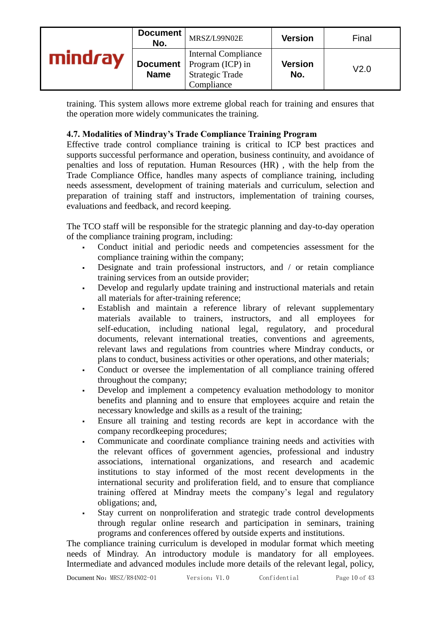|      | Document<br>No.           | MRSZ/L99N02E                                                                           | <b>Version</b> | Final            |
|------|---------------------------|----------------------------------------------------------------------------------------|----------------|------------------|
| Irav | Document  <br><b>Name</b> | <b>Internal Compliance</b><br>Program (ICP) in<br><b>Strategic Trade</b><br>Compliance | Version<br>No. | V <sub>2.0</sub> |

training. This system allows more extreme global reach for training and ensures that the operation more widely communicates the training.

#### **4.7. Modalities of Mindray's Trade Compliance Training Program**

Effective trade control compliance training is critical to ICP best practices and supports successful performance and operation, business continuity, and avoidance of penalties and loss of reputation. Human Resources (HR) , with the help from the Trade Compliance Office, handles many aspects of compliance training, including needs assessment, development of training materials and curriculum, selection and preparation of training staff and instructors, implementation of training courses, evaluations and feedback, and record keeping.

The TCO staff will be responsible for the strategic planning and day-to-day operation of the compliance training program, including:

- Conduct initial and periodic needs and competencies assessment for the compliance training within the company;
- Designate and train professional instructors, and  $\ell$  or retain compliance training services from an outside provider;
- Develop and regularly update training and instructional materials and retain all materials for after-training reference;
- Establish and maintain a reference library of relevant supplementary materials available to trainers, instructors, and all employees for self-education, including national legal, regulatory, and procedural documents, relevant international treaties, conventions and agreements, relevant laws and regulations from countries where Mindray conducts, or plans to conduct, business activities or other operations, and other materials;
- Conduct or oversee the implementation of all compliance training offered throughout the company;
- Develop and implement a competency evaluation methodology to monitor benefits and planning and to ensure that employees acquire and retain the necessary knowledge and skills as a result of the training;
- Ensure all training and testing records are kept in accordance with the company recordkeeping procedures;
- Communicate and coordinate compliance training needs and activities with the relevant offices of government agencies, professional and industry associations, international organizations, and research and academic institutions to stay informed of the most recent developments in the international security and proliferation field, and to ensure that compliance training offered at Mindray meets the company's legal and regulatory obligations; and,
- Stay current on nonproliferation and strategic trade control developments through regular online research and participation in seminars, training programs and conferences offered by outside experts and institutions.

The compliance training curriculum is developed in modular format which meeting needs of Mindray. An introductory module is mandatory for all employees. Intermediate and advanced modules include more details of the relevant legal, policy,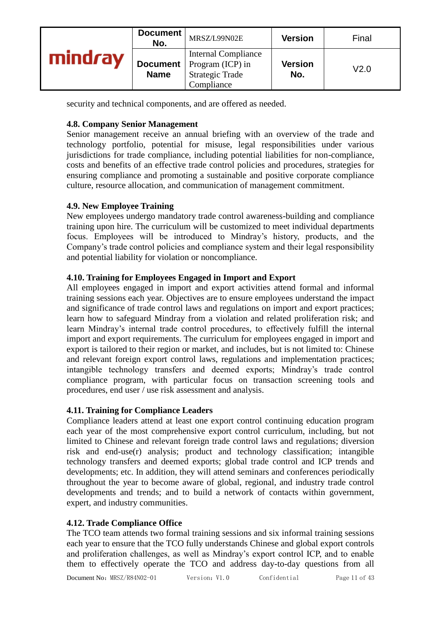|     | Document<br>No.           | MRSZ/L99N02E                                                                           | <b>Version</b>        | Final            |
|-----|---------------------------|----------------------------------------------------------------------------------------|-----------------------|------------------|
| rav | Document  <br><b>Name</b> | <b>Internal Compliance</b><br>Program (ICP) in<br><b>Strategic Trade</b><br>Compliance | <b>Version</b><br>No. | V <sub>2.0</sub> |

security and technical components, and are offered as needed.

#### **4.8. Company Senior Management**

Senior management receive an annual briefing with an overview of the trade and technology portfolio, potential for misuse, legal responsibilities under various jurisdictions for trade compliance, including potential liabilities for non-compliance, costs and benefits of an effective trade control policies and procedures, strategies for ensuring compliance and promoting a sustainable and positive corporate compliance culture, resource allocation, and communication of management commitment.

#### **4.9. New Employee Training**

New employees undergo mandatory trade control awareness-building and compliance training upon hire. The curriculum will be customized to meet individual departments focus. Employees will be introduced to Mindray's history, products, and the Company's trade control policies and compliance system and their legal responsibility and potential liability for violation or noncompliance.

#### **4.10. Training for Employees Engaged in Import and Export**

All employees engaged in import and export activities attend formal and informal training sessions each year. Objectives are to ensure employees understand the impact and significance of trade control laws and regulations on import and export practices; learn how to safeguard Mindray from a violation and related proliferation risk; and learn Mindray's internal trade control procedures, to effectively fulfill the internal import and export requirements. The curriculum for employees engaged in import and export is tailored to their region or market, and includes, but is not limited to: Chinese and relevant foreign export control laws, regulations and implementation practices; intangible technology transfers and deemed exports; Mindray's trade control compliance program, with particular focus on transaction screening tools and procedures, end user / use risk assessment and analysis.

#### **4.11. Training for Compliance Leaders**

Compliance leaders attend at least one export control continuing education program each year of the most comprehensive export control curriculum, including, but not limited to Chinese and relevant foreign trade control laws and regulations; diversion risk and end-use(r) analysis; product and technology classification; intangible technology transfers and deemed exports; global trade control and ICP trends and developments; etc. In addition, they will attend seminars and conferences periodically throughout the year to become aware of global, regional, and industry trade control developments and trends; and to build a network of contacts within government, expert, and industry communities.

# **4.12. Trade Compliance Office**

The TCO team attends two formal training sessions and six informal training sessions each year to ensure that the TCO fully understands Chinese and global export controls and proliferation challenges, as well as Mindray's export control ICP, and to enable them to effectively operate the TCO and address day-to-day questions from all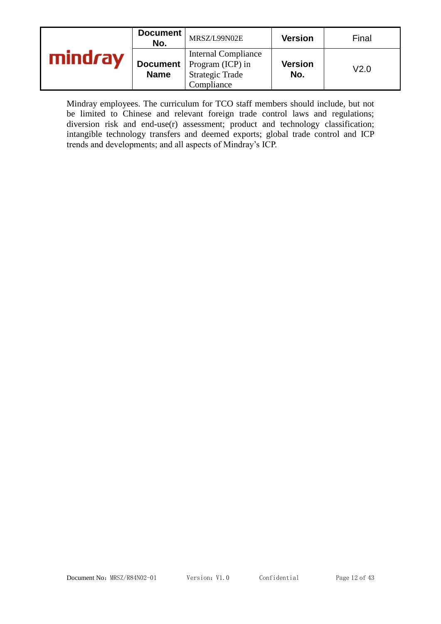|     | Document<br>No.                | MRSZ/L99N02E                                                                                    | <b>Version</b>        | Final |
|-----|--------------------------------|-------------------------------------------------------------------------------------------------|-----------------------|-------|
| rav | <b>Document</b><br><b>Name</b> | <b>Internal Compliance</b><br>$\Gamma$ Program (ICP) in<br><b>Strategic Trade</b><br>Compliance | <b>Version</b><br>No. | V2.0  |

Mindray employees. The curriculum for TCO staff members should include, but not be limited to Chinese and relevant foreign trade control laws and regulations; diversion risk and end-use(r) assessment; product and technology classification; intangible technology transfers and deemed exports; global trade control and ICP trends and developments; and all aspects of Mindray's ICP.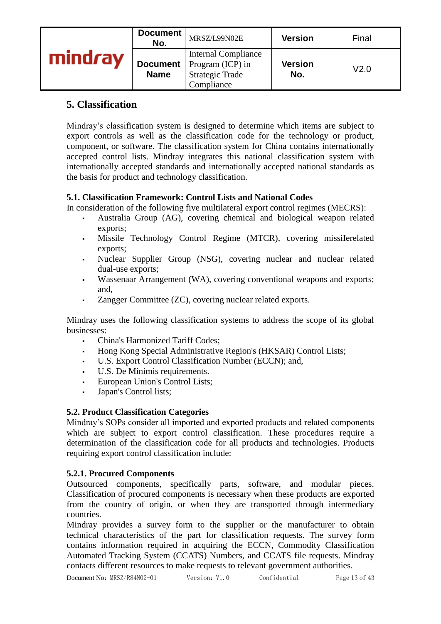|         | Document<br>No.                | MRSZ/L99N02E                                                                           | <b>Version</b>        | Final |
|---------|--------------------------------|----------------------------------------------------------------------------------------|-----------------------|-------|
| mindray | <b>Document</b><br><b>Name</b> | <b>Internal Compliance</b><br>Program (ICP) in<br><b>Strategic Trade</b><br>Compliance | <b>Version</b><br>No. | V2.0  |

# **5. Classification**

Mindray's classification system is designed to determine which items are subject to export controls as well as the classification code for the technology or product, component, or software. The classification system for China contains internationally accepted control lists. Mindray integrates this national classification system with internationally accepted standards and internationally accepted national standards as the basis for product and technology classification.

# **5.1. Classification Framework: Control Lists and National Codes**

In consideration of the following five multilateral export control regimes (MECRS):

- Australia Group (AG), covering chemical and biological weapon related exports;
- Missile Technology Control Regime (MTCR), covering missiIerelated exports;
- Nuclear Supplier Group (NSG), covering nuclear and nuclear related dual-use exports;
- Wassenaar Arrangement (WA), covering conventional weapons and exports; and,
- Zangger Committee (ZC), covering nucIear related exports.

Mindray uses the following classification systems to address the scope of its global businesses:

- China's Harmonized Tariff Codes:
- Hong Kong Special Administrative Region's (HKSAR) Control Lists;
- U.S. Export Control Classification Number (ECCN); and,
- U.S. De Minimis requirements.
- European Union's Control Lists;
- Japan's Control lists;

# **5.2. Product Classification Categories**

Mindray's SOPs consider all imported and exported products and related components which are subject to export control classification. These procedures require a determination of the classification code for all products and technologies. Products requiring export control classification include:

# **5.2.1. Procured Components**

Outsourced components, specifically parts, software, and modular pieces. Classification of procured components is necessary when these products are exported from the country of origin, or when they are transported through intermediary countries.

Mindray provides a survey form to the supplier or the manufacturer to obtain technical characteristics of the part for classification requests. The survey form contains information required in acquiring the ECCN, Commodity Classification Automated Tracking System (CCATS) Numbers, and CCATS file requests. Mindray contacts different resources to make requests to relevant government authorities.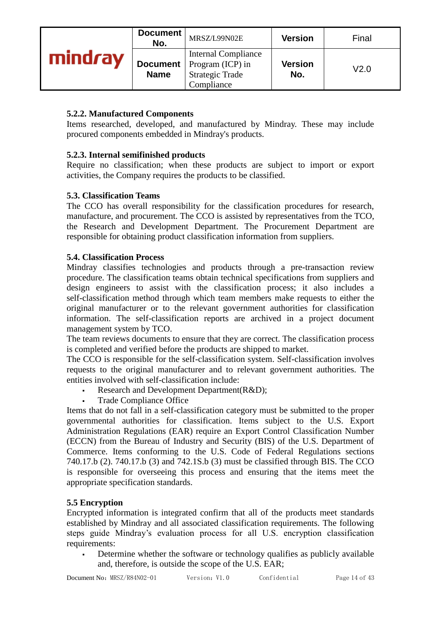|         | Document<br>No.                | MRSZ/L99N02E                                                                           | <b>Version</b>        | Final            |
|---------|--------------------------------|----------------------------------------------------------------------------------------|-----------------------|------------------|
| mindray | <b>Document</b><br><b>Name</b> | <b>Internal Compliance</b><br>Program (ICP) in<br><b>Strategic Trade</b><br>Compliance | <b>Version</b><br>No. | V <sub>2.0</sub> |

#### **5.2.2. Manufactured Components**

Items researched, developed, and manufactured by Mindray. These may include procured components embedded in Mindray's products.

#### **5.2.3. Internal semifinished products**

Require no classification; when these products are subject to import or export activities, the Company requires the products to be classified.

#### **5.3. Classification Teams**

The CCO has overall responsibility for the classification procedures for research, manufacture, and procurement. The CCO is assisted by representatives from the TCO, the Research and Development Department. The Procurement Department are responsible for obtaining product classification information from suppliers.

#### **5.4. Classification Process**

Mindray classifies technologies and products through a pre-transaction review procedure. The classification teams obtain technical specifications from suppliers and design engineers to assist with the classification process; it also includes a self-classification method through which team members make requests to either the original manufacturer or to the relevant government authorities for classification information. The self-classification reports are archived in a project document management system by TCO.

The team reviews documents to ensure that they are correct. The classification process is completed and verified before the products are shipped to market.

The CCO is responsible for the self-classification system. Self-classification involves requests to the original manufacturer and to relevant government authorities. The entities involved with self-classification include:

- Research and Development Department(R&D);
- Trade Compliance Office

Items that do not fall in a self-classification category must be submitted to the proper governmental authorities for classification. Items subject to the U.S. Export Administration Regulations (EAR) require an Export Control Classification Number (ECCN) from the Bureau of Industry and Security (BIS) of the U.S. Department of Commerce. Items conforming to the U.S. Code of Federal Regulations sections 740.17.b (2). 740.17.b (3) and 742.1S.b (3) must be classified through BIS. The CCO is responsible for overseeing this process and ensuring that the items meet the appropriate specification standards.

#### **5.5 Encryption**

Encrypted information is integrated confirm that all of the products meet standards established by Mindray and all associated classification requirements. The following steps guide Mindray's evaluation process for all U.S. encryption classification requirements:

Determine whether the software or technology qualifies as publicly available and, therefore, is outside the scope of the U.S. EAR;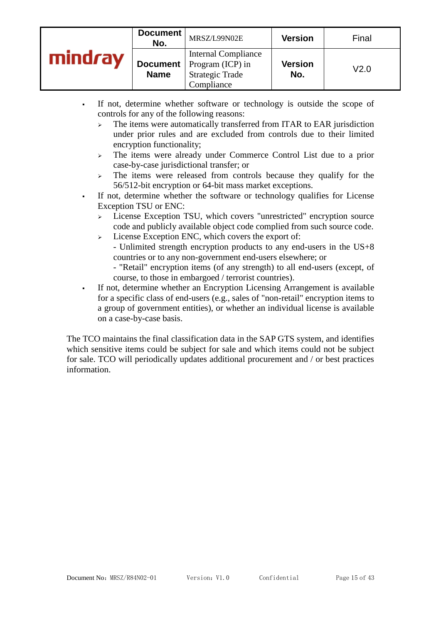| Document<br>No.                | MRSZ/L99N02E                                                                           | <b>Version</b>        | Final |
|--------------------------------|----------------------------------------------------------------------------------------|-----------------------|-------|
| <b>Document</b><br><b>Name</b> | <b>Internal Compliance</b><br>Program (ICP) in<br><b>Strategic Trade</b><br>Compliance | <b>Version</b><br>No. | V2.0  |

- If not, determine whether software or technology is outside the scope of controls for any of the following reasons:
	- $\geq$  The items were automatically transferred from ITAR to EAR jurisdiction under prior rules and are excluded from controls due to their limited encryption functionality;
	- ➢ The items were already under Commerce Control List due to a prior case-by-case jurisdictional transfer; or
	- $\geq$  The items were released from controls because they qualify for the 56/512-bit encryption or 64-bit mass market exceptions.
- If not, determine whether the software or technology qualifies for License Exception TSU or ENC:
	- ➢ License Exception TSU, which covers "unrestricted" encryption source code and publicly available object code complied from such source code.
	- ➢ License Exception ENC, which covers the export of: - Unlimited strength encryption products to any end-users in the US+8 countries or to any non-government end-users elsewhere; or
		- "Retail" encryption items (of any strength) to all end-users (except, of course, to those in embargoed / terrorist countries).
- If not, determine whether an Encryption Licensing Arrangement is available for a specific class of end-users (e.g., sales of "non-retail" encryption items to a group of government entities), or whether an individual license is available on a case-by-case basis.

The TCO maintains the final classification data in the SAP GTS system, and identifies which sensitive items could be subject for sale and which items could not be subject for sale. TCO will periodically updates additional procurement and / or best practices information.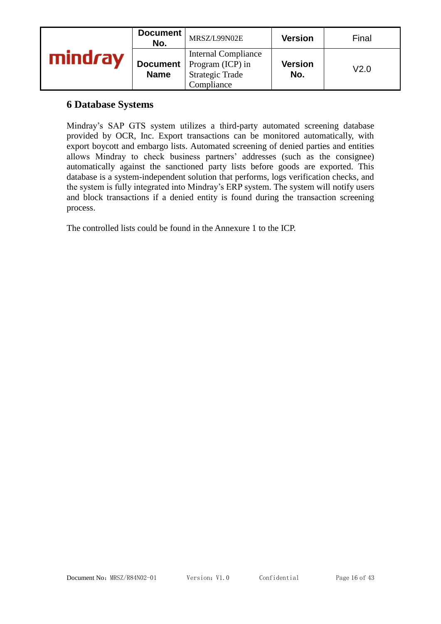| Document<br>No.                | MRSZ/L99N02E                                                                           | <b>Version</b>        | Final |
|--------------------------------|----------------------------------------------------------------------------------------|-----------------------|-------|
| <b>Document</b><br><b>Name</b> | <b>Internal Compliance</b><br>Program (ICP) in<br><b>Strategic Trade</b><br>Compliance | <b>Version</b><br>No. | V2.0  |

# **6 Database Systems**

Mindray's SAP GTS system utilizes a third-party automated screening database provided by OCR, Inc. Export transactions can be monitored automatically, with export boycott and embargo lists. Automated screening of denied parties and entities allows Mindray to check business partners' addresses (such as the consignee) automatically against the sanctioned party lists before goods are exported. This database is a system-independent solution that performs, logs verification checks, and the system is fully integrated into Mindray's ERP system. The system will notify users and block transactions if a denied entity is found during the transaction screening process.

The controlled lists could be found in the Annexure 1 to the ICP.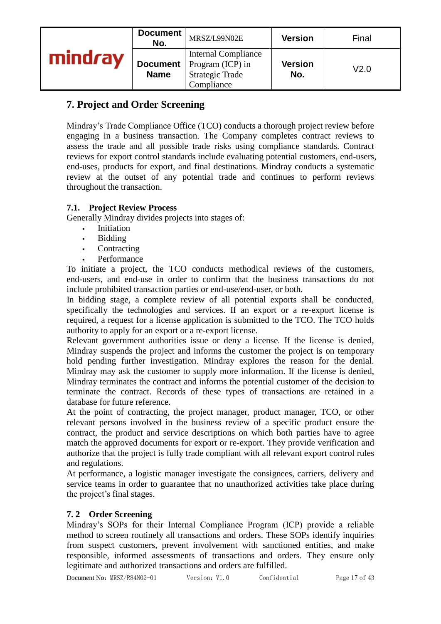|         | Document<br>No.                | MRSZ/L99N02E                                                                           | <b>Version</b>        | Final |
|---------|--------------------------------|----------------------------------------------------------------------------------------|-----------------------|-------|
| mindray | <b>Document</b><br><b>Name</b> | <b>Internal Compliance</b><br>Program (ICP) in<br><b>Strategic Trade</b><br>Compliance | <b>Version</b><br>No. | V2.0  |

# **7. Project and Order Screening**

Mindray's Trade Compliance Office (TCO) conducts a thorough project review before engaging in a business transaction. The Company completes contract reviews to assess the trade and all possible trade risks using compliance standards. Contract reviews for export control standards include evaluating potential customers, end-users, end-uses, products for export, and final destinations. Mindray conducts a systematic review at the outset of any potential trade and continues to perform reviews throughout the transaction.

#### **7.1. Project Review Process**

Generally Mindray divides projects into stages of:

- **Initiation**
- Bidding
- Contracting
- **Performance**

To initiate a project, the TCO conducts methodical reviews of the customers, end-users, and end-use in order to confirm that the business transactions do not include prohibited transaction parties or end-use/end-user, or both.

In bidding stage, a complete review of all potential exports shall be conducted, specifically the technologies and services. If an export or a re-export license is required, a request for a license application is submitted to the TCO. The TCO holds authority to apply for an export or a re-export license.

Relevant government authorities issue or deny a license. If the license is denied, Mindray suspends the project and informs the customer the project is on temporary hold pending further investigation. Mindray explores the reason for the denial. Mindray may ask the customer to supply more information. If the license is denied, Mindray terminates the contract and informs the potential customer of the decision to terminate the contract. Records of these types of transactions are retained in a database for future reference.

At the point of contracting, the project manager, product manager, TCO, or other relevant persons involved in the business review of a specific product ensure the contract, the product and service descriptions on which both parties have to agree match the approved documents for export or re-export. They provide verification and authorize that the project is fully trade compliant with all relevant export control rules and regulations.

At performance, a logistic manager investigate the consignees, carriers, delivery and service teams in order to guarantee that no unauthorized activities take place during the project's final stages.

# **7. 2 Order Screening**

Mindray's SOPs for their Internal Compliance Program (ICP) provide a reliable method to screen routinely all transactions and orders. These SOPs identify inquiries from suspect customers, prevent involvement with sanctioned entities, and make responsible, informed assessments of transactions and orders. They ensure only legitimate and authorized transactions and orders are fulfilled.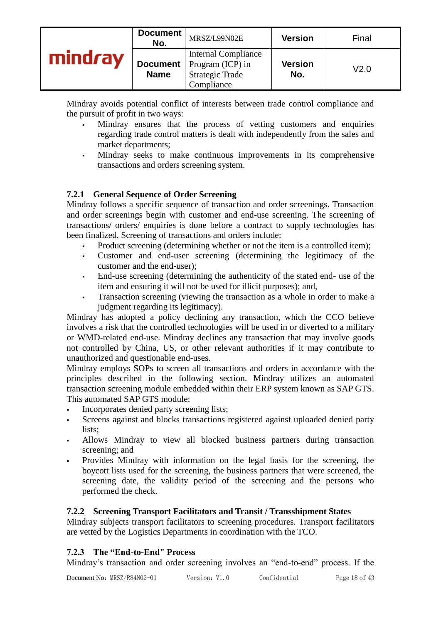|     | Document<br>No.                | MRSZ/L99N02E                                                                           | <b>Version</b>        | Final |
|-----|--------------------------------|----------------------------------------------------------------------------------------|-----------------------|-------|
| rav | <b>Document</b><br><b>Name</b> | <b>Internal Compliance</b><br>Program (ICP) in<br><b>Strategic Trade</b><br>Compliance | <b>Version</b><br>No. | V2.0  |

Mindray avoids potential conflict of interests between trade control compliance and the pursuit of profit in two ways:

- Mindray ensures that the process of vetting customers and enquiries regarding trade control matters is dealt with independently from the sales and market departments;
- Mindray seeks to make continuous improvements in its comprehensive transactions and orders screening system.

#### **7.2.1 General Sequence of Order Screening**

Mindray follows a specific sequence of transaction and order screenings. Transaction and order screenings begin with customer and end-use screening. The screening of transactions/ orders/ enquiries is done before a contract to supply technologies has been finalized. Screening of transactions and orders include:

- Product screening (determining whether or not the item is a controlled item);
- Customer and end-user screening (determining the legitimacy of the customer and the end-user);
- End-use screening (determining the authenticity of the stated end- use of the item and ensuring it will not be used for illicit purposes); and,
- Transaction screening (viewing the transaction as a whole in order to make a judgment regarding its legitimacy).

Mindray has adopted a policy declining any transaction, which the CCO believe involves a risk that the controlled technologies will be used in or diverted to a military or WMD-related end-use. Mindray declines any transaction that may involve goods not controlled by China, US, or other relevant authorities if it may contribute to unauthorized and questionable end-uses.

Mindray employs SOPs to screen all transactions and orders in accordance with the principles described in the following section. Mindray utilizes an automated transaction screening module embedded within their ERP system known as SAP GTS. This automated SAP GTS module:

- Incorporates denied party screening lists;
- Screens against and blocks transactions registered against uploaded denied party lists:
- Allows Mindray to view all blocked business partners during transaction screening; and
- Provides Mindray with information on the legal basis for the screening, the boycott lists used for the screening, the business partners that were screened, the screening date, the validity period of the screening and the persons who performed the check.

#### **7.2.2 Screening Transport Facilitators and Transit / Transshipment States**

Mindray subjects transport facilitators to screening procedures. Transport facilitators are vetted by the Logistics Departments in coordination with the TCO.

#### **7.2.3 The "End-to-End" Process**

Mindray's transaction and order screening involves an "end-to-end" process. If the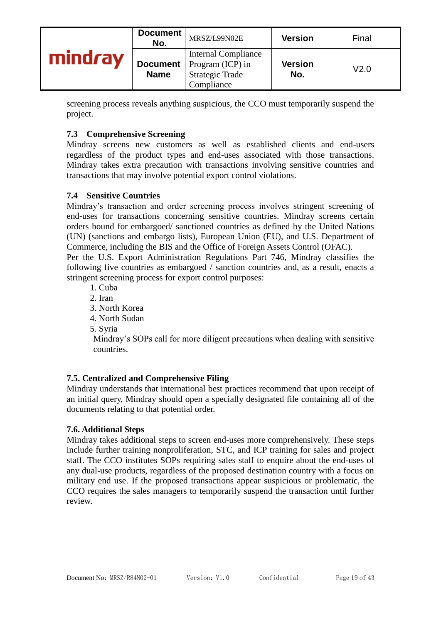|     | Document<br>No. | MRSZ/L99N02E                                                                                             | <b>Version</b>        | Final |
|-----|-----------------|----------------------------------------------------------------------------------------------------------|-----------------------|-------|
| rav | <b>Name</b>     | <b>Internal Compliance</b><br><b>Document</b>   Program (ICP) in<br><b>Strategic Trade</b><br>Compliance | <b>Version</b><br>No. | V2.0  |

screening process reveals anything suspicious, the CCO must temporarily suspend the project.

#### **7.3 Comprehensive Screening**

Mindray screens new customers as well as established clients and end-users regardless of the product types and end-uses associated with those transactions. Mindray takes extra precaution with transactions involving sensitive countries and transactions that may involve potential export control violations.

#### **7.4 Sensitive Countries**

Mindray's transaction and order screening process involves stringent screening of end-uses for transactions concerning sensitive countries. Mindray screens certain orders bound for embargoed/ sanctioned countries as defined by the United Nations (UN) (sanctions and embargo lists), European Union (EU), and U.S. Department of Commerce, including the BIS and the Office of Foreign Assets Control (OFAC).

Per the U.S. Export Administration Regulations Part 746, Mindray classifies the following five countries as embargoed / sanction countries and, as a result, enacts a stringent screening process for export control purposes:

- 1. Cuba
- 2. Iran
- 3. North Korea
- 4. North Sudan
- 5. Syria

Mindray's SOPs call for more diligent precautions when dealing with sensitive countries.

#### **7.5. Centralized and Comprehensive Filing**

Mindray understands that international best practices recommend that upon receipt of an initial query, Mindray should open a specially designated file containing all of the documents relating to that potential order.

#### **7.6. Additional Steps**

Mindray takes additional steps to screen end-uses more comprehensively. These steps include further training nonproliferation, STC, and ICP training for sales and project staff. The CCO institutes SOPs requiring sales staff to enquire about the end-uses of any dual-use products, regardless of the proposed destination country with a focus on military end use. If the proposed transactions appear suspicious or problematic, the CCO requires the sales managers to temporarily suspend the transaction until further review.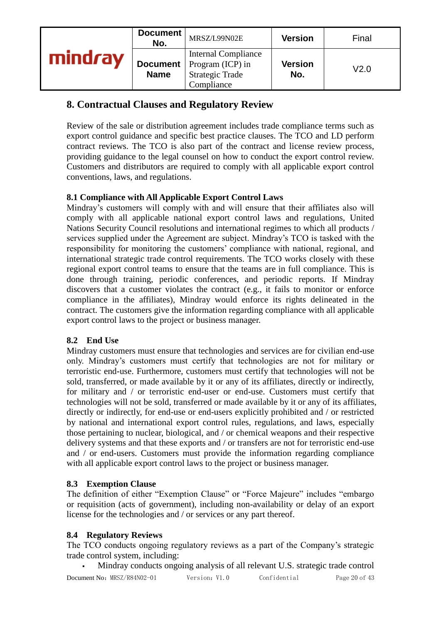|         | Document<br>No.           | MRSZ/L99N02E                                                                           | <b>Version</b>        | Final            |
|---------|---------------------------|----------------------------------------------------------------------------------------|-----------------------|------------------|
| mindray | Document  <br><b>Name</b> | <b>Internal Compliance</b><br>Program (ICP) in<br><b>Strategic Trade</b><br>Compliance | <b>Version</b><br>No. | V <sub>2.0</sub> |

# **8. Contractual Clauses and Regulatory Review**

Review of the sale or distribution agreement includes trade compliance terms such as export control guidance and specific best practice clauses. The TCO and LD perform contract reviews. The TCO is also part of the contract and license review process, providing guidance to the legal counsel on how to conduct the export control review. Customers and distributors are required to comply with all applicable export control conventions, laws, and regulations.

# **8.1 Compliance with All Applicable Export Control Laws**

Mindray's customers will comply with and will ensure that their affiliates also will comply with all applicable national export control laws and regulations, United Nations Security Council resolutions and international regimes to which all products / services supplied under the Agreement are subject. Mindray's TCO is tasked with the responsibility for monitoring the customers' compliance with national, regional, and international strategic trade control requirements. The TCO works closely with these regional export control teams to ensure that the teams are in full compliance. This is done through training, periodic conferences, and periodic reports. If Mindray discovers that a customer violates the contract (e.g., it fails to monitor or enforce compliance in the affiliates), Mindray would enforce its rights delineated in the contract. The customers give the information regarding compliance with all applicable export control laws to the project or business manager.

# **8.2 End Use**

Mindray customers must ensure that technologies and services are for civilian end-use only. Mindray's customers must certify that technologies are not for military or terroristic end-use. Furthermore, customers must certify that technologies will not be sold, transferred, or made available by it or any of its affiliates, directly or indirectly, for military and / or terroristic end-user or end-use. Customers must certify that technologies will not be sold, transferred or made available by it or any of its affiliates, directly or indirectly, for end-use or end-users explicitly prohibited and / or restricted by national and international export control rules, regulations, and laws, especially those pertaining to nuclear, biological, and / or chemical weapons and their respective delivery systems and that these exports and / or transfers are not for terroristic end-use and / or end-users. Customers must provide the information regarding compliance with all applicable export control laws to the project or business manager.

#### **8.3 Exemption Clause**

The definition of either "Exemption Clause" or "Force Majeure" includes "embargo or requisition (acts of government), including non-availability or delay of an export license for the technologies and / or services or any part thereof.

#### **8.4 Regulatory Reviews**

The TCO conducts ongoing regulatory reviews as a part of the Company's strategic trade control system, including:

Document No: MRSZ/R84N02-01 Version: V1.0 Confidential Page 20 of 43 Mindray conducts ongoing analysis of all relevant U.S. strategic trade control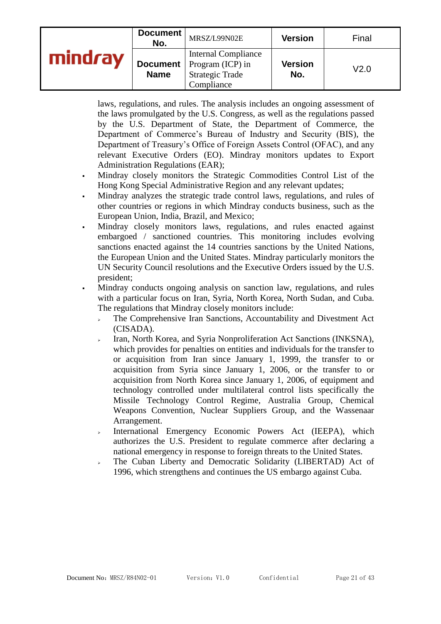|     | Document<br>No. | MRSZ/L99N02E                                                                                             | <b>Version</b>        | Final |
|-----|-----------------|----------------------------------------------------------------------------------------------------------|-----------------------|-------|
| rav | <b>Name</b>     | <b>Internal Compliance</b><br><b>Document</b>   Program (ICP) in<br><b>Strategic Trade</b><br>Compliance | <b>Version</b><br>No. | V2.0  |

laws, regulations, and rules. The analysis includes an ongoing assessment of the laws promulgated by the U.S. Congress, as well as the regulations passed by the U.S. Department of State, the Department of Commerce, the Department of Commerce's Bureau of Industry and Security (BIS), the Department of Treasury's Office of Foreign Assets Control (OFAC), and any relevant Executive Orders (EO). Mindray monitors updates to Export Administration Regulations (EAR);

- Mindray closely monitors the Strategic Commodities Control List of the Hong Kong Special Administrative Region and any relevant updates;
- Mindray analyzes the strategic trade control laws, regulations, and rules of other countries or regions in which Mindray conducts business, such as the European Union, India, Brazil, and Mexico;
- Mindray closely monitors laws, regulations, and rules enacted against embargoed / sanctioned countries. This monitoring includes evolving sanctions enacted against the 14 countries sanctions by the United Nations, the European Union and the United States. Mindray particularly monitors the UN Security Council resolutions and the Executive Orders issued by the U.S. president;
- Mindray conducts ongoing analysis on sanction law, regulations, and rules with a particular focus on Iran, Syria, North Korea, North Sudan, and Cuba. The regulations that Mindray closely monitors include:
	- ➢ The Comprehensive Iran Sanctions, Accountability and Divestment Act (CISADA).
	- Iran, North Korea, and Syria Nonproliferation Act Sanctions (INKSNA), which provides for penalties on entities and individuals for the transfer to or acquisition from Iran since January 1, 1999, the transfer to or acquisition from Syria since January 1, 2006, or the transfer to or acquisition from North Korea since January 1, 2006, of equipment and technology controlled under multilateral control lists specifically the Missile Technology Control Regime, Australia Group, Chemical Weapons Convention, Nuclear Suppliers Group, and the Wassenaar Arrangement.
	- ➢ International Emergency Economic Powers Act (IEEPA), which authorizes the U.S. President to regulate commerce after declaring a national emergency in response to foreign threats to the United States.
	- ➢ The Cuban Liberty and Democratic Solidarity (LIBERTAD) Act of 1996, which strengthens and continues the US embargo against Cuba.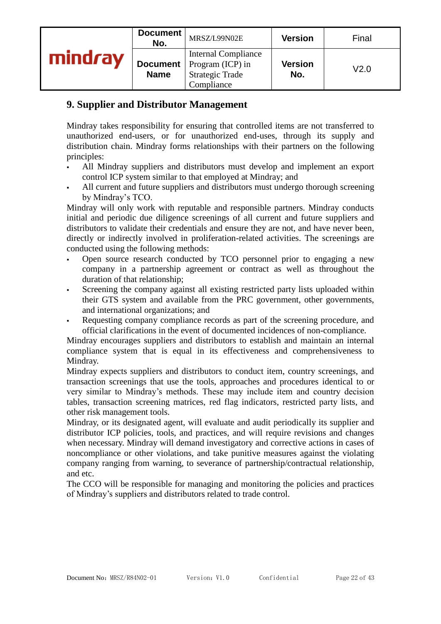|         | Document<br>No.           | MRSZ/L99N02E                                                                           | <b>Version</b>        | Final            |
|---------|---------------------------|----------------------------------------------------------------------------------------|-----------------------|------------------|
| mindray | Document  <br><b>Name</b> | <b>Internal Compliance</b><br>Program (ICP) in<br><b>Strategic Trade</b><br>Compliance | <b>Version</b><br>No. | V <sub>2.0</sub> |

# **9. Supplier and Distributor Management**

Mindray takes responsibility for ensuring that controlled items are not transferred to unauthorized end-users, or for unauthorized end-uses, through its supply and distribution chain. Mindray forms relationships with their partners on the following principles:

- All Mindray suppliers and distributors must develop and implement an export control ICP system similar to that employed at Mindray; and
- All current and future suppliers and distributors must undergo thorough screening by Mindray's TCO.

Mindray will only work with reputable and responsible partners. Mindray conducts initial and periodic due diligence screenings of all current and future suppliers and distributors to validate their credentials and ensure they are not, and have never been, directly or indirectly involved in proliferation-related activities. The screenings are conducted using the following methods:

- Open source research conducted by TCO personnel prior to engaging a new company in a partnership agreement or contract as well as throughout the duration of that relationship;
- Screening the company against all existing restricted party lists uploaded within their GTS system and available from the PRC government, other governments, and international organizations; and
- Requesting company compliance records as part of the screening procedure, and official clarifications in the event of documented incidences of non-compliance.

Mindray encourages suppliers and distributors to establish and maintain an internal compliance system that is equal in its effectiveness and comprehensiveness to Mindray.

Mindray expects suppliers and distributors to conduct item, country screenings, and transaction screenings that use the tools, approaches and procedures identical to or very similar to Mindray's methods. These may include item and country decision tables, transaction screening matrices, red flag indicators, restricted party lists, and other risk management tools.

Mindray, or its designated agent, will evaluate and audit periodically its supplier and distributor ICP policies, tools, and practices, and will require revisions and changes when necessary. Mindray will demand investigatory and corrective actions in cases of noncompliance or other violations, and take punitive measures against the violating company ranging from warning, to severance of partnership/contractual relationship, and etc.

The CCO will be responsible for managing and monitoring the policies and practices of Mindray's suppliers and distributors related to trade control.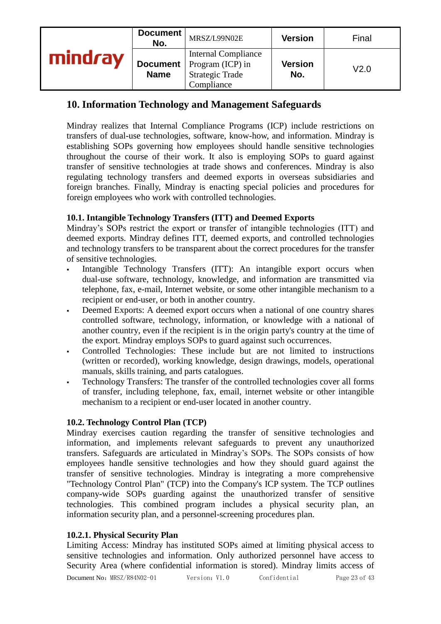| Document<br>No. | MRSZ/L99N02E                                                                                             | <b>Version</b>        | Final |
|-----------------|----------------------------------------------------------------------------------------------------------|-----------------------|-------|
| <b>Name</b>     | <b>Internal Compliance</b><br><b>Document</b>   Program (ICP) in<br><b>Strategic Trade</b><br>Compliance | <b>Version</b><br>No. | V2.0  |

# **10. Information Technology and Management Safeguards**

Mindray realizes that Internal Compliance Programs (ICP) include restrictions on transfers of dual-use technologies, software, know-how, and information. Mindray is establishing SOPs governing how employees should handle sensitive technologies throughout the course of their work. It also is employing SOPs to guard against transfer of sensitive technologies at trade shows and conferences. Mindray is also regulating technology transfers and deemed exports in overseas subsidiaries and foreign branches. Finally, Mindray is enacting special policies and procedures for foreign employees who work with controlled technologies.

#### **10.1. Intangible Technology Transfers (ITT) and Deemed Exports**

Mindray's SOPs restrict the export or transfer of intangible technologies (ITT) and deemed exports. Mindray defines ITT, deemed exports, and controlled technologies and technology transfers to be transparent about the correct procedures for the transfer of sensitive technologies.

- Intangible Technology Transfers (ITT): An intangible export occurs when dual-use software, technology, knowledge, and information are transmitted via telephone, fax, e-mail, Internet website, or some other intangible mechanism to a recipient or end-user, or both in another country.
- Deemed Exports: A deemed export occurs when a national of one country shares controlled software, technology, information, or knowledge with a national of another country, even if the recipient is in the origin party's country at the time of the export. Mindray employs SOPs to guard against such occurrences.
- Controlled Technologies: These include but are not limited to instructions (written or recorded), working knowledge, design drawings, models, operational manuals, skills training, and parts catalogues.
- Technology Transfers: The transfer of the controlled technologies cover all forms of transfer, including telephone, fax, email, internet website or other intangible mechanism to a recipient or end-user located in another country.

#### **10.2. Technology Control Plan (TCP)**

Mindray exercises caution regarding the transfer of sensitive technologies and information, and implements relevant safeguards to prevent any unauthorized transfers. Safeguards are articulated in Mindray's SOPs. The SOPs consists of how employees handle sensitive technologies and how they should guard against the transfer of sensitive technologies. Mindray is integrating a more comprehensive "Technology Control Plan" (TCP) into the Company's ICP system. The TCP outlines company-wide SOPs guarding against the unauthorized transfer of sensitive technologies. This combined program includes a physical security plan, an information security plan, and a personnel-screening procedures plan.

#### **10.2.1. Physical Security Plan**

Limiting Access: Mindray has instituted SOPs aimed at limiting physical access to sensitive technologies and information. Only authorized personnel have access to Security Area (where confidential information is stored). Mindray limits access of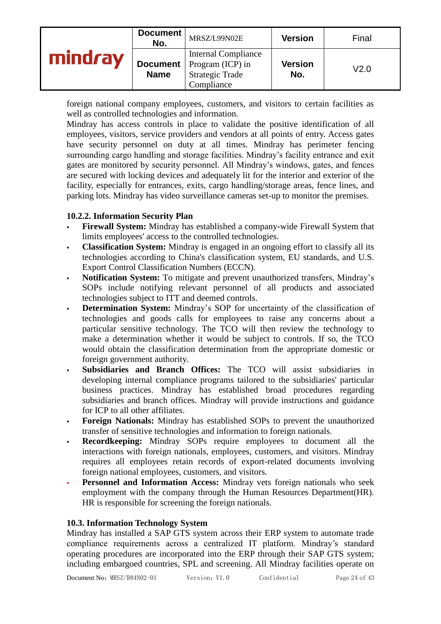|     | Document<br>No.           | MRSZ/L99N02E                                                                           | <b>Version</b>        | Final |
|-----|---------------------------|----------------------------------------------------------------------------------------|-----------------------|-------|
| 'av | Document  <br><b>Name</b> | <b>Internal Compliance</b><br>Program (ICP) in<br><b>Strategic Trade</b><br>Compliance | <b>Version</b><br>No. | V2.0  |

foreign national company employees, customers, and visitors to certain facilities as well as controlled technologies and information.

Mindray has access controls in place to validate the positive identification of all employees, visitors, service providers and vendors at all points of entry. Access gates have security personnel on duty at all times. Mindray has perimeter fencing surrounding cargo handling and storage facilities. Mindray's facility entrance and exit gates are monitored by security personnel. All Mindray's windows, gates, and fences are secured with locking devices and adequately lit for the interior and exterior of the facility, especially for entrances, exits, cargo handling/storage areas, fence lines, and parking lots. Mindray has video surveillance cameras set-up to monitor the premises.

#### **10.2.2. Information Security Plan**

- **Firewall System:** Mindray has established a company-wide Firewall System that limits employees' access to the controlled technologies.
- **Classification System:** Mindray is engaged in an ongoing effort to classify all its technologies according to China's classification system, EU standards, and U.S. Export Control Classification Numbers (ECCN).
- Notification System: To mitigate and prevent unauthorized transfers, Mindray's SOPs include notifying relevant personnel of all products and associated technologies subject to ITT and deemed controls.
- **Determination System:** Mindray's SOP for uncertainty of the classification of technologies and goods calls for employees to raise any concerns about a particular sensitive technology. The TCO will then review the technology to make a determination whether it would be subject to controls. If so, the TCO would obtain the classification determination from the appropriate domestic or foreign government authority.
- **Subsidiaries and Branch Offices:** The TCO will assist subsidiaries in developing internal compliance programs tailored to the subsidiaries' particular business practices. Mindray has established broad procedures regarding subsidiaries and branch offices. Mindray will provide instructions and guidance for ICP to all other affiliates.
- **Foreign Nationals:** Mindray has established SOPs to prevent the unauthorized transfer of sensitive technologies and information to foreign nationals.
- **Recordkeeping:** Mindray SOPs require employees to document all the interactions with foreign nationals, employees, customers, and visitors. Mindray requires all employees retain records of export-related documents involving foreign national employees, customers, and visitors.
- Personnel and Information Access: Mindray vets foreign nationals who seek employment with the company through the Human Resources Department(HR). HR is responsible for screening the foreign nationals.

#### **10.3. Information Technology System**

Mindray has installed a SAP GTS system across their ERP system to automate trade compliance requirements across a centralized IT platform. Mindray's standard operating procedures are incorporated into the ERP through their SAP GTS system; including embargoed countries, SPL and screening. All Mindray facilities operate on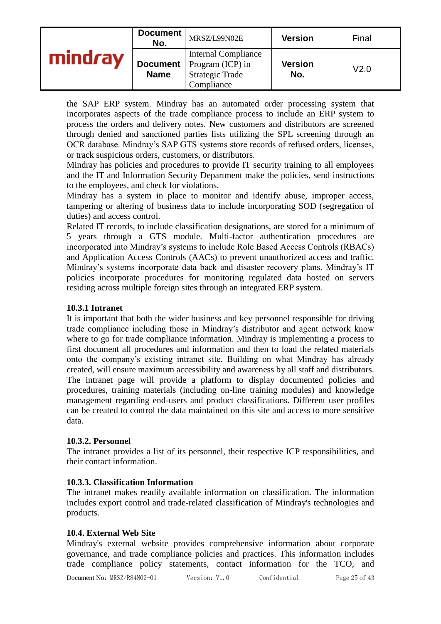| Document<br>No.           | MRSZ/L99N02E                                                                           | <b>Version</b> | Final |
|---------------------------|----------------------------------------------------------------------------------------|----------------|-------|
| Document  <br><b>Name</b> | <b>Internal Compliance</b><br>Program (ICP) in<br><b>Strategic Trade</b><br>Compliance | Version<br>No. | V2.0  |

the SAP ERP system. Mindray has an automated order processing system that incorporates aspects of the trade compliance process to include an ERP system to process the orders and delivery notes. New customers and distributors are screened through denied and sanctioned parties lists utilizing the SPL screening through an OCR database. Mindray's SAP GTS systems store records of refused orders, licenses, or track suspicious orders, customers, or distributors.

Mindray has policies and procedures to provide IT security training to all employees and the IT and Information Security Department make the policies, send instructions to the employees, and check for violations.

Mindray has a system in place to monitor and identify abuse, improper access, tampering or altering of business data to include incorporating SOD (segregation of duties) and access control.

Related IT records, to include classification designations, are stored for a minimum of 5 years through a GTS module. Multi-factor authentication procedures are incorporated into Mindray's systems to include Role Based Access Controls (RBACs) and Application Access Controls (AACs) to prevent unauthorized access and traffic. Mindray's systems incorporate data back and disaster recovery plans. Mindray's IT policies incorporate procedures for monitoring regulated data hosted on servers residing across multiple foreign sites through an integrated ERP system.

#### **10.3.1 Intranet**

It is important that both the wider business and key personnel responsible for driving trade compliance including those in Mindray's distributor and agent network know where to go for trade compliance information. Mindray is implementing a process to first document all procedures and information and then to load the related materials onto the company's existing intranet site. Building on what Mindray has already created, will ensure maximum accessibility and awareness by all staff and distributors. The intranet page will provide a platform to display documented policies and procedures, training materials (including on-line training modules) and knowledge management regarding end-users and product classifications. Different user profiles can be created to control the data maintained on this site and access to more sensitive data.

#### **10.3.2. Personnel**

The intranet provides a list of its personnel, their respective ICP responsibilities, and their contact information.

#### **10.3.3. Classification Information**

The intranet makes readily available information on classification. The information includes export control and trade-related classification of Mindray's technologies and products.

#### **10.4. External Web Site**

Mindray's external website provides comprehensive information about corporate governance, and trade compliance policies and practices. This information includes trade compliance policy statements, contact information for the TCO, and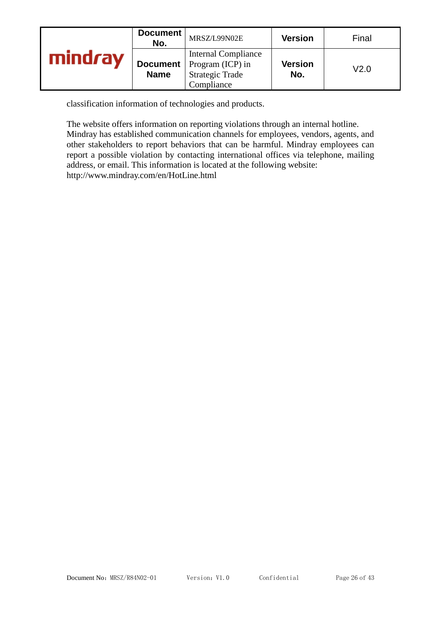|               | Document<br>No. | MRSZ/L99N02E                                                                                             | <b>Version</b>        | Final |
|---------------|-----------------|----------------------------------------------------------------------------------------------------------|-----------------------|-------|
| ı <i>r</i> av | <b>Name</b>     | <b>Internal Compliance</b><br><b>Document</b>   Program (ICP) in<br><b>Strategic Trade</b><br>Compliance | <b>Version</b><br>No. | V2.0  |

classification information of technologies and products.

The website offers information on reporting violations through an internal hotline. Mindray has established communication channels for employees, vendors, agents, and other stakeholders to report behaviors that can be harmful. Mindray employees can report a possible violation by contacting international offices via telephone, mailing address, or email. This information is located at the following website: http://www.mindray.com/en/HotLine.html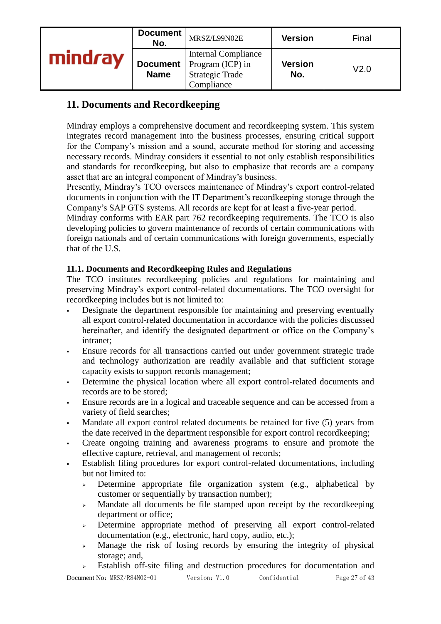|         | Document<br>No.                | MRSZ/L99N02E                                                                           | <b>Version</b> | Final |
|---------|--------------------------------|----------------------------------------------------------------------------------------|----------------|-------|
| mindray | <b>Document</b><br><b>Name</b> | <b>Internal Compliance</b><br>Program (ICP) in<br><b>Strategic Trade</b><br>Compliance | Version<br>No. | V2.0  |

# **11. Documents and Recordkeeping**

Mindray employs a comprehensive document and recordkeeping system. This system integrates record management into the business processes, ensuring critical support for the Company's mission and a sound, accurate method for storing and accessing necessary records. Mindray considers it essential to not only establish responsibilities and standards for recordkeeping, but also to emphasize that records are a company asset that are an integral component of Mindray's business.

Presently, Mindray's TCO oversees maintenance of Mindray's export control-related documents in conjunction with the IT Department's recordkeeping storage through the Company's SAP GTS systems. All records are kept for at least a five-year period.

Mindray conforms with EAR part 762 recordkeeping requirements. The TCO is also developing policies to govern maintenance of records of certain communications with foreign nationals and of certain communications with foreign governments, especially that of the U.S.

#### **11.1. Documents and Recordkeeping Rules and Regulations**

The TCO institutes recordkeeping policies and regulations for maintaining and preserving Mindray's export control-related documentations. The TCO oversight for recordkeeping includes but is not limited to:

- Designate the department responsible for maintaining and preserving eventually all export control-related documentation in accordance with the policies discussed hereinafter, and identify the designated department or office on the Company's intranet;
- Ensure records for all transactions carried out under government strategic trade and technology authorization are readily available and that sufficient storage capacity exists to support records management;
- Determine the physical location where all export control-related documents and records are to be stored;
- Ensure records are in a logical and traceable sequence and can be accessed from a variety of field searches;
- Mandate all export control related documents be retained for five (5) years from the date received in the department responsible for export control recordkeeping;
- Create ongoing training and awareness programs to ensure and promote the effective capture, retrieval, and management of records;
- Establish filing procedures for export control-related documentations, including but not limited to:
	- $\rightarrow$  Determine appropriate file organization system (e.g., alphabetical by customer or sequentially by transaction number);
	- ➢ Mandate all documents be file stamped upon receipt by the recordkeeping department or office;
	- ➢ Determine appropriate method of preserving all export control-related documentation (e.g., electronic, hard copy, audio, etc.);
	- ➢ Manage the risk of losing records by ensuring the integrity of physical storage; and,
	- $\geq$  Establish off-site filing and destruction procedures for documentation and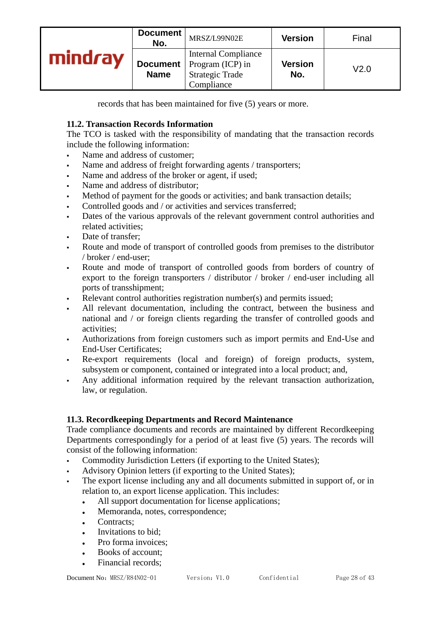|         | Document<br>No. | MRSZ/L99N02E                                                                                             | <b>Version</b>        | Final |
|---------|-----------------|----------------------------------------------------------------------------------------------------------|-----------------------|-------|
| mindrav | <b>Name</b>     | <b>Internal Compliance</b><br><b>Document</b>   Program (ICP) in<br><b>Strategic Trade</b><br>Compliance | <b>Version</b><br>No. | V2.0  |

records that has been maintained for five (5) years or more.

### **11.2. Transaction Records Information**

The TCO is tasked with the responsibility of mandating that the transaction records include the following information:

- Name and address of customer;
- Name and address of freight forwarding agents / transporters;
- Name and address of the broker or agent, if used;
- Name and address of distributor:
- Method of payment for the goods or activities; and bank transaction details;
- Controlled goods and / or activities and services transferred;
- Dates of the various approvals of the relevant government control authorities and related activities;
- Date of transfer:
- Route and mode of transport of controlled goods from premises to the distributor / broker / end-user;
- Route and mode of transport of controlled goods from borders of country of export to the foreign transporters / distributor / broker / end-user including all ports of transshipment;
- Relevant control authorities registration number(s) and permits issued;
- All relevant documentation, including the contract, between the business and national and / or foreign clients regarding the transfer of controlled goods and activities;
- Authorizations from foreign customers such as import permits and End-Use and End-User Certificates;
- Re-export requirements (local and foreign) of foreign products, system, subsystem or component, contained or integrated into a local product; and,
- Any additional information required by the relevant transaction authorization, law, or regulation.

#### **11.3. Recordkeeping Departments and Record Maintenance**

Trade compliance documents and records are maintained by different Recordkeeping Departments correspondingly for a period of at least five (5) years. The records will consist of the following information:

- Commodity Jurisdiction Letters (if exporting to the United States);
- Advisory Opinion letters (if exporting to the United States);
- The export license including any and all documents submitted in support of, or in relation to, an export license application. This includes:
	- ⚫ All support documentation for license applications;
	- Memoranda, notes, correspondence;
	- Contracts:
	- ⚫ Invitations to bid;
	- ⚫ Pro forma invoices;
	- ⚫ Books of account;
	- Financial records;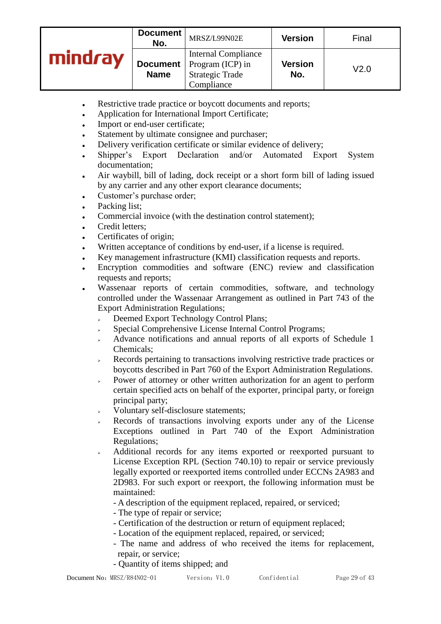|     | Document<br>No.                | MRSZ/L99N02E                                                                           | <b>Version</b>        | Final |
|-----|--------------------------------|----------------------------------------------------------------------------------------|-----------------------|-------|
| rav | <b>Document</b><br><b>Name</b> | <b>Internal Compliance</b><br>Program (ICP) in<br><b>Strategic Trade</b><br>Compliance | <b>Version</b><br>No. | V2.0  |

- ⚫ Restrictive trade practice or boycott documents and reports;
- Application for International Import Certificate;
- ⚫ Import or end-user certificate;
- Statement by ultimate consignee and purchaser;
- ⚫ Delivery verification certificate or similar evidence of delivery;
- ⚫ Shipper's Export Declaration and/or Automated Export System documentation;
- ⚫ Air waybill, bill of lading, dock receipt or a short form bill of lading issued by any carrier and any other export clearance documents;
- ⚫ Customer's purchase order;
- Packing list;
- Commercial invoice (with the destination control statement):
- Credit letters;
- Certificates of origin;
- ⚫ Written acceptance of conditions by end-user, if a license is required.
- ⚫ Key management infrastructure (KMI) classification requests and reports.
- ⚫ Encryption commodities and software (ENC) review and classification requests and reports;
- Wassenaar reports of certain commodities, software, and technology controlled under the Wassenaar Arrangement as outlined in Part 743 of the Export Administration Regulations;
	- ➢ Deemed Export Technology Control Plans;
	- ➢ Special Comprehensive License Internal Control Programs;
	- Advance notifications and annual reports of all exports of Schedule 1 Chemicals;
	- ➢ Records pertaining to transactions involving restrictive trade practices or boycotts described in Part 760 of the Export Administration Regulations.
	- Power of attorney or other written authorization for an agent to perform certain specified acts on behalf of the exporter, principal party, or foreign principal party;
	- ➢ Voluntary self-disclosure statements;
	- Records of transactions involving exports under any of the License Exceptions outlined in Part 740 of the Export Administration Regulations;
	- ➢ Additional records for any items exported or reexported pursuant to License Exception RPL (Section 740.10) to repair or service previously legally exported or reexported items controlled under ECCNs 2A983 and 2D983. For such export or reexport, the following information must be maintained:
		- A description of the equipment replaced, repaired, or serviced;
		- The type of repair or service;
		- Certification of the destruction or return of equipment replaced;
		- Location of the equipment replaced, repaired, or serviced;
		- The name and address of who received the items for replacement, repair, or service;
		- Quantity of items shipped; and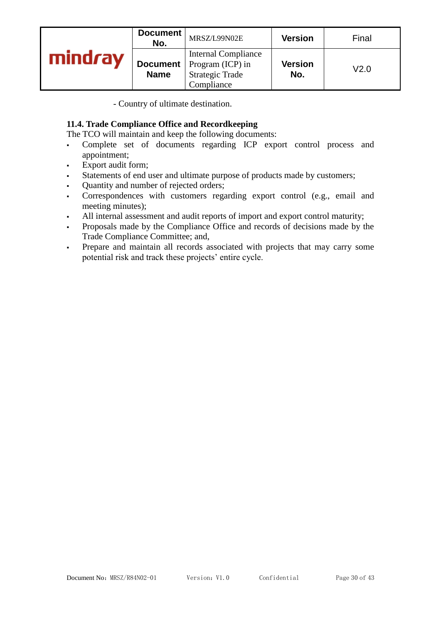|         | Document<br>No. | MRSZ/L99N02E                                                                                             | <b>Version</b>        | Final |
|---------|-----------------|----------------------------------------------------------------------------------------------------------|-----------------------|-------|
| mindray | <b>Name</b>     | <b>Internal Compliance</b><br><b>Document</b>   Program (ICP) in<br><b>Strategic Trade</b><br>Compliance | <b>Version</b><br>No. | V2.0  |

- Country of ultimate destination.

#### **11.4. Trade Compliance Office and Recordkeeping**

The TCO will maintain and keep the following documents:

- Complete set of documents regarding ICP export control process and appointment;
- Export audit form;
- Statements of end user and ultimate purpose of products made by customers;
- Quantity and number of rejected orders;
- Correspondences with customers regarding export control (e.g., email and meeting minutes);
- All internal assessment and audit reports of import and export control maturity;
- Proposals made by the Compliance Office and records of decisions made by the Trade Compliance Committee; and,
- Prepare and maintain all records associated with projects that may carry some potential risk and track these projects' entire cycle.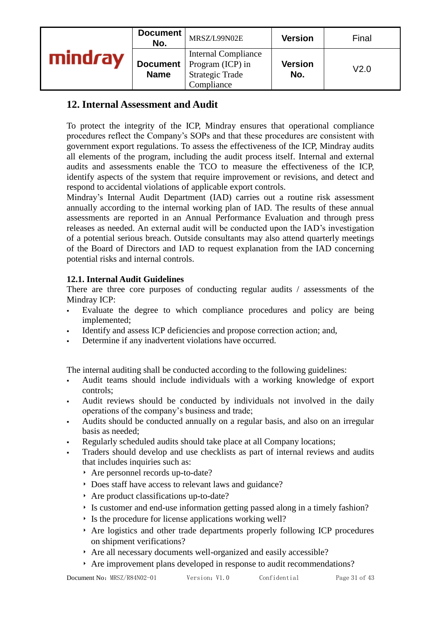|     | Document<br>No.                | MRSZ/L99N02E                                                                           | <b>Version</b>        | Final |
|-----|--------------------------------|----------------------------------------------------------------------------------------|-----------------------|-------|
| rav | <b>Document</b><br><b>Name</b> | <b>Internal Compliance</b><br>Program (ICP) in<br><b>Strategic Trade</b><br>Compliance | <b>Version</b><br>No. | V2.0  |

# **12. Internal Assessment and Audit**

To protect the integrity of the ICP, Mindray ensures that operational compliance procedures reflect the Company's SOPs and that these procedures are consistent with government export regulations. To assess the effectiveness of the ICP, Mindray audits all elements of the program, including the audit process itself. Internal and external audits and assessments enable the TCO to measure the effectiveness of the ICP, identify aspects of the system that require improvement or revisions, and detect and respond to accidental violations of applicable export controls.

Mindray's Internal Audit Department (IAD) carries out a routine risk assessment annually according to the internal working plan of IAD. The results of these annual assessments are reported in an Annual Performance Evaluation and through press releases as needed. An external audit will be conducted upon the IAD's investigation of a potential serious breach. Outside consultants may also attend quarterly meetings of the Board of Directors and IAD to request explanation from the IAD concerning potential risks and internal controls.

# **12.1. Internal Audit Guidelines**

There are three core purposes of conducting regular audits / assessments of the Mindray ICP:

- Evaluate the degree to which compliance procedures and policy are being implemented;
- Identify and assess ICP deficiencies and propose correction action; and,
- Determine if any inadvertent violations have occurred.

The internal auditing shall be conducted according to the following guidelines:

- Audit teams should include individuals with a working knowledge of export controls;
- Audit reviews should be conducted by individuals not involved in the daily operations of the company's business and trade;
- Audits should be conducted annually on a regular basis, and also on an irregular basis as needed;
- Regularly scheduled audits should take place at all Company locations;
- Traders should develop and use checklists as part of internal reviews and audits that includes inquiries such as:
	- ‣ Are personnel records up-to-date?
	- ‣ Does staff have access to relevant laws and guidance?
	- ‣ Are product classifications up-to-date?
	- ‣ Is customer and end-use information getting passed along in a timely fashion?
	- ‣ Is the procedure for license applications working well?
	- ‣ Are logistics and other trade departments properly following ICP procedures on shipment verifications?
	- ‣ Are all necessary documents well-organized and easily accessible?
	- ‣ Are improvement plans developed in response to audit recommendations?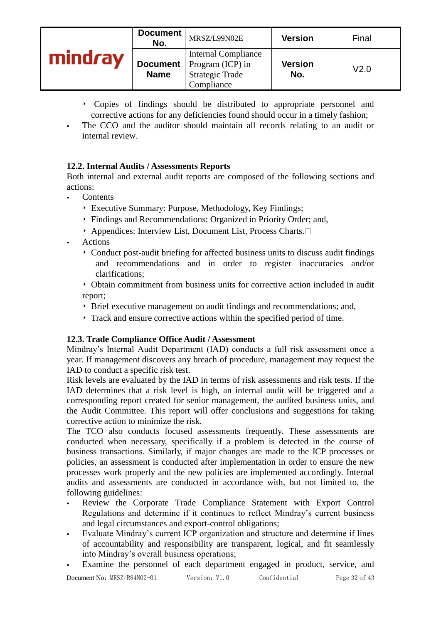|     | Document<br>No.                | MRSZ/L99N02E                                                                           | <b>Version</b>        | Final            |
|-----|--------------------------------|----------------------------------------------------------------------------------------|-----------------------|------------------|
| rav | <b>Document</b><br><b>Name</b> | <b>Internal Compliance</b><br>Program (ICP) in<br><b>Strategic Trade</b><br>Compliance | <b>Version</b><br>No. | V <sub>2.0</sub> |

- ‣ Copies of findings should be distributed to appropriate personnel and corrective actions for any deficiencies found should occur in a timely fashion;
- The CCO and the auditor should maintain all records relating to an audit or internal review.

# **12.2. Internal Audits / Assessments Reports**

Both internal and external audit reports are composed of the following sections and actions:

- **Contents** 
	- ‣ Executive Summary: Purpose, Methodology, Key Findings;
	- ‣ Findings and Recommendations: Organized in Priority Order; and,
	- $\rightarrow$  Appendices: Interview List, Document List, Process Charts.
- **Actions** 
	- ‣ Conduct post-audit briefing for affected business units to discuss audit findings and recommendations and in order to register inaccuracies and/or clarifications;

‣ Obtain commitment from business units for corrective action included in audit report;

- ‣ Brief executive management on audit findings and recommendations; and,
- ‣ Track and ensure corrective actions within the specified period of time.

#### **12.3. Trade Compliance Office Audit / Assessment**

Mindray's Internal Audit Department (IAD) conducts a full risk assessment once a year. If management discovers any breach of procedure, management may request the IAD to conduct a specific risk test.

Risk levels are evaluated by the IAD in terms of risk assessments and risk tests. If the IAD determines that a risk level is high, an internal audit will be triggered and a corresponding report created for senior management, the audited business units, and the Audit Committee. This report will offer conclusions and suggestions for taking corrective action to minimize the risk.

The TCO also conducts focused assessments frequently. These assessments are conducted when necessary, specifically if a problem is detected in the course of business transactions. Similarly, if major changes are made to the ICP processes or policies, an assessment is conducted after implementation in order to ensure the new processes work properly and the new policies are implemented accordingly. Internal audits and assessments are conducted in accordance with, but not limited to, the following guidelines:

- Review the Corporate Trade Compliance Statement with Export Control Regulations and determine if it continues to reflect Mindray's current business and legal circumstances and export-control obligations;
- Evaluate Mindray's current ICP organization and structure and determine if lines of accountability and responsibility are transparent, logical, and fit seamlessly into Mindray's overall business operations;
- Examine the personnel of each department engaged in product, service, and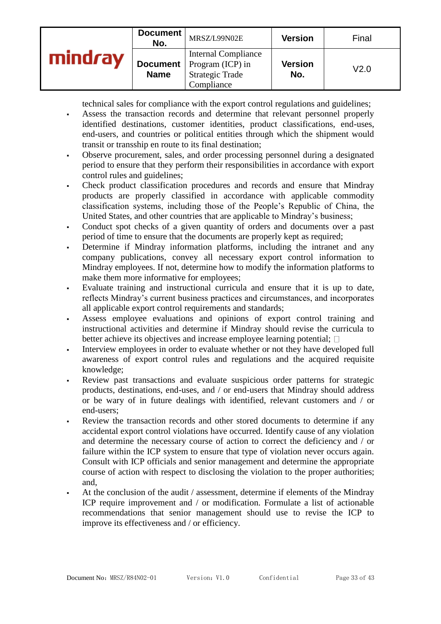| Document<br>No. | MRSZ/L99N02E                                                                                             | <b>Version</b>        | Final |
|-----------------|----------------------------------------------------------------------------------------------------------|-----------------------|-------|
| <b>Name</b>     | <b>Internal Compliance</b><br><b>Document</b>   Program (ICP) in<br><b>Strategic Trade</b><br>Compliance | <b>Version</b><br>No. | V2.0  |

technical sales for compliance with the export control regulations and guidelines;

- Assess the transaction records and determine that relevant personnel properly identified destinations, customer identities, product classifications, end-uses, end-users, and countries or political entities through which the shipment would transit or transship en route to its final destination;
- Observe procurement, sales, and order processing personnel during a designated period to ensure that they perform their responsibilities in accordance with export control rules and guidelines;
- Check product classification procedures and records and ensure that Mindray products are properly classified in accordance with applicable commodity classification systems, including those of the People's Republic of China, the United States, and other countries that are applicable to Mindray's business;
- Conduct spot checks of a given quantity of orders and documents over a past period of time to ensure that the documents are properly kept as required;
- Determine if Mindray information platforms, including the intranet and any company publications, convey all necessary export control information to Mindray employees. If not, determine how to modify the information platforms to make them more informative for employees;
- Evaluate training and instructional curricula and ensure that it is up to date, reflects Mindray's current business practices and circumstances, and incorporates all applicable export control requirements and standards;
- Assess employee evaluations and opinions of export control training and instructional activities and determine if Mindray should revise the curricula to better achieve its objectives and increase employee learning potential;  $\square$
- Interview employees in order to evaluate whether or not they have developed full awareness of export control rules and regulations and the acquired requisite knowledge;
- Review past transactions and evaluate suspicious order patterns for strategic products, destinations, end-uses, and / or end-users that Mindray should address or be wary of in future dealings with identified, relevant customers and / or end-users;
- Review the transaction records and other stored documents to determine if any accidental export control violations have occurred. Identify cause of any violation and determine the necessary course of action to correct the deficiency and / or failure within the ICP system to ensure that type of violation never occurs again. Consult with ICP officials and senior management and determine the appropriate course of action with respect to disclosing the violation to the proper authorities; and,
- At the conclusion of the audit / assessment, determine if elements of the Mindray ICP require improvement and / or modification. Formulate a list of actionable recommendations that senior management should use to revise the ICP to improve its effectiveness and / or efficiency.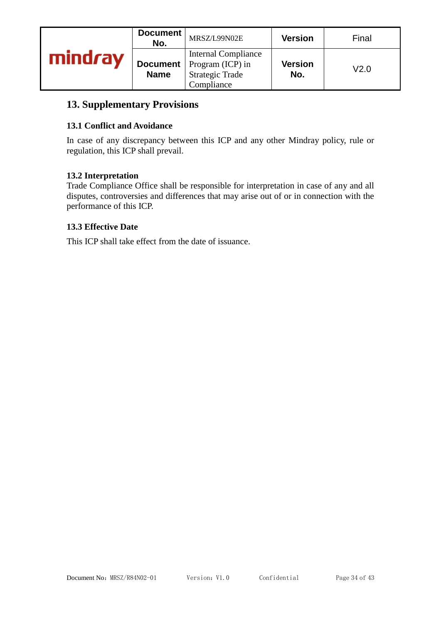|         | Document<br>No.                | MRSZ/L99N02E                                                                           | <b>Version</b>        | Final |
|---------|--------------------------------|----------------------------------------------------------------------------------------|-----------------------|-------|
| mindray | <b>Document</b><br><b>Name</b> | <b>Internal Compliance</b><br>Program (ICP) in<br><b>Strategic Trade</b><br>Compliance | <b>Version</b><br>No. | V2.0  |

# **13. Supplementary Provisions**

#### **13.1 Conflict and Avoidance**

In case of any discrepancy between this ICP and any other Mindray policy, rule or regulation, this ICP shall prevail.

#### **13.2 Interpretation**

Trade Compliance Office shall be responsible for interpretation in case of any and all disputes, controversies and differences that may arise out of or in connection with the performance of this ICP.

#### **13.3 Effective Date**

This ICP shall take effect from the date of issuance.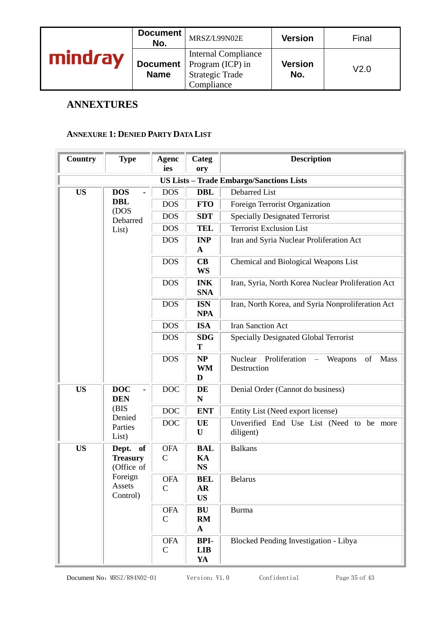|                  | Document<br>No.                | MRSZ/L99N02E                                                                           | <b>Version</b>        | Final |
|------------------|--------------------------------|----------------------------------------------------------------------------------------|-----------------------|-------|
| mind <i>ra</i> v | <b>Document</b><br><b>Name</b> | <b>Internal Compliance</b><br>Program (ICP) in<br><b>Strategic Trade</b><br>Compliance | <b>Version</b><br>No. | V2.0  |

# **ANNEXTURES**

#### **ANNEXURE 1: DENIED PARTY DATA LIST**

| <b>Country</b> | <b>Type</b>                                  | <b>Agenc</b><br>ies        | Categ<br>ory                         | <b>Description</b>                                 |                                                       |  |            |                      |                                                                              |  |  |  |  |                           |                                 |                                       |
|----------------|----------------------------------------------|----------------------------|--------------------------------------|----------------------------------------------------|-------------------------------------------------------|--|------------|----------------------|------------------------------------------------------------------------------|--|--|--|--|---------------------------|---------------------------------|---------------------------------------|
|                |                                              |                            |                                      | <b>US Lists - Trade Embargo/Sanctions Lists</b>    |                                                       |  |            |                      |                                                                              |  |  |  |  |                           |                                 |                                       |
| <b>US</b>      | <b>DOS</b>                                   | <b>DOS</b>                 | <b>DBL</b>                           | <b>Debarred List</b>                               |                                                       |  |            |                      |                                                                              |  |  |  |  |                           |                                 |                                       |
|                | <b>DBL</b>                                   | <b>DOS</b>                 | <b>FTO</b>                           | Foreign Terrorist Organization                     |                                                       |  |            |                      |                                                                              |  |  |  |  |                           |                                 |                                       |
|                | (DOS<br>Debarred                             | <b>DOS</b>                 | <b>SDT</b>                           | <b>Specially Designated Terrorist</b>              |                                                       |  |            |                      |                                                                              |  |  |  |  |                           |                                 |                                       |
|                | List)                                        | <b>DOS</b>                 | <b>TEL</b>                           | <b>Terrorist Exclusion List</b>                    |                                                       |  |            |                      |                                                                              |  |  |  |  |                           |                                 |                                       |
|                |                                              | <b>DOS</b>                 | <b>INP</b><br>$\mathbf{A}$           | Iran and Syria Nuclear Proliferation Act           |                                                       |  |            |                      |                                                                              |  |  |  |  |                           |                                 |                                       |
|                |                                              | <b>DOS</b>                 | CB<br><b>WS</b>                      | Chemical and Biological Weapons List               |                                                       |  |            |                      |                                                                              |  |  |  |  |                           |                                 |                                       |
|                |                                              | <b>DOS</b>                 | <b>INK</b><br><b>SNA</b>             | Iran, Syria, North Korea Nuclear Proliferation Act |                                                       |  |            |                      |                                                                              |  |  |  |  |                           |                                 |                                       |
|                |                                              | <b>DOS</b>                 | <b>ISN</b><br><b>NPA</b>             | Iran, North Korea, and Syria Nonproliferation Act  |                                                       |  |            |                      |                                                                              |  |  |  |  |                           |                                 |                                       |
|                |                                              | <b>DOS</b>                 | <b>ISA</b>                           | <b>Iran Sanction Act</b>                           |                                                       |  |            |                      |                                                                              |  |  |  |  |                           |                                 |                                       |
|                |                                              | <b>DOS</b>                 | <b>SDG</b><br>T                      | <b>Specially Designated Global Terrorist</b>       |                                                       |  |            |                      |                                                                              |  |  |  |  |                           |                                 |                                       |
|                |                                              |                            |                                      |                                                    |                                                       |  | <b>DOS</b> | NP<br><b>WM</b><br>D | Nuclear<br>Proliferation<br>Weapons<br>Mass<br>of<br>$\equiv$<br>Destruction |  |  |  |  |                           |                                 |                                       |
| <b>US</b>      | <b>DOC</b><br><b>DEN</b>                     | <b>DOC</b>                 | DE<br>N                              | Denial Order (Cannot do business)                  |                                                       |  |            |                      |                                                                              |  |  |  |  |                           |                                 |                                       |
|                | (BIS<br>Denied                               | <b>DOC</b>                 | <b>ENT</b>                           | Entity List (Need export license)                  |                                                       |  |            |                      |                                                                              |  |  |  |  |                           |                                 |                                       |
|                | Parties<br>List)                             |                            | <b>DOC</b>                           | UE<br>U                                            | Unverified End Use List (Need to be more<br>diligent) |  |            |                      |                                                                              |  |  |  |  |                           |                                 |                                       |
| <b>US</b>      | Dept.<br>of<br><b>Treasury</b><br>(Office of | <b>OFA</b><br>$\mathbf C$  | <b>BAL</b><br>KA<br><b>NS</b>        | <b>Balkans</b>                                     |                                                       |  |            |                      |                                                                              |  |  |  |  |                           |                                 |                                       |
|                | Foreign<br>Assets<br>Control)                | <b>OFA</b><br>$\mathsf{C}$ | <b>BEL</b><br><b>AR</b><br><b>US</b> | <b>Belarus</b>                                     |                                                       |  |            |                      |                                                                              |  |  |  |  |                           |                                 |                                       |
|                |                                              | <b>OFA</b><br>$\mathbf C$  | BU<br>RM<br>$\mathbf A$              | <b>Burma</b>                                       |                                                       |  |            |                      |                                                                              |  |  |  |  |                           |                                 |                                       |
|                |                                              |                            |                                      |                                                    |                                                       |  |            |                      |                                                                              |  |  |  |  | <b>OFA</b><br>$\mathbf C$ | <b>BPI-</b><br><b>LIB</b><br>YA | Blocked Pending Investigation - Libya |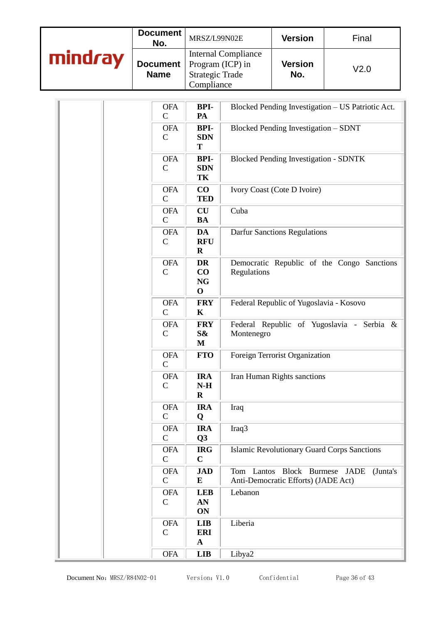|         | Document<br>No.           | MRSZ/L99N02E                                                                           | <b>Version</b>        | Final            |
|---------|---------------------------|----------------------------------------------------------------------------------------|-----------------------|------------------|
| mindray | Document  <br><b>Name</b> | <b>Internal Compliance</b><br>Program (ICP) in<br><b>Strategic Trade</b><br>Compliance | <b>Version</b><br>No. | V <sub>2.0</sub> |

| <b>OFA</b><br>$\mathsf{C}$  | BPI-<br>PA                                  | Blocked Pending Investigation - US Patriotic Act.                                |
|-----------------------------|---------------------------------------------|----------------------------------------------------------------------------------|
| <b>OFA</b><br>$\mathcal{C}$ | <b>BPI-</b><br><b>SDN</b><br>T              | Blocked Pending Investigation - SDNT                                             |
| <b>OFA</b><br>$\mathbf C$   | <b>BPI-</b><br><b>SDN</b><br>TK             | <b>Blocked Pending Investigation - SDNTK</b>                                     |
| <b>OFA</b><br>$\mathsf{C}$  | $\bf CO$<br><b>TED</b>                      | Ivory Coast (Cote D Ivoire)                                                      |
| <b>OFA</b><br>$\mathsf{C}$  | CU<br><b>BA</b>                             | Cuba                                                                             |
| <b>OFA</b><br>$\mathcal{C}$ | DA<br><b>RFU</b><br>$\mathbf R$             | <b>Darfur Sanctions Regulations</b>                                              |
| <b>OFA</b><br>$\mathsf{C}$  | <b>DR</b><br>CO<br><b>NG</b><br>$\mathbf 0$ | Democratic Republic of the Congo Sanctions<br>Regulations                        |
| <b>OFA</b><br>$\mathbf C$   | <b>FRY</b><br>$\mathbf K$                   | Federal Republic of Yugoslavia - Kosovo                                          |
| <b>OFA</b><br>$\mathsf{C}$  | <b>FRY</b><br>S&<br>$\bf M$                 | Federal Republic of Yugoslavia - Serbia &<br>Montenegro                          |
| <b>OFA</b><br>$\mathbf C$   | <b>FTO</b>                                  | Foreign Terrorist Organization                                                   |
| <b>OFA</b><br>$\mathsf{C}$  | <b>IRA</b><br>$N-H$<br>$\mathbf R$          | Iran Human Rights sanctions                                                      |
| <b>OFA</b><br>$\mathsf{C}$  | <b>IRA</b><br>Q                             | Iraq                                                                             |
| <b>OFA</b><br>$\mathsf{C}$  | <b>IRA</b><br>Q <sub>3</sub>                | Iraq3                                                                            |
| <b>OFA</b><br>$\mathbf C$   | <b>IRG</b><br>$\mathbf C$                   | <b>Islamic Revolutionary Guard Corps Sanctions</b>                               |
| <b>OFA</b><br>$\mathsf{C}$  | <b>JAD</b><br>E                             | Tom Lantos Block Burmese JADE<br>(Junta's<br>Anti-Democratic Efforts) (JADE Act) |
| <b>OFA</b><br>$\mathsf{C}$  | <b>LEB</b><br>AN<br>ON                      | Lebanon                                                                          |
| <b>OFA</b><br>$\mathsf{C}$  | <b>LIB</b><br><b>ERI</b><br>${\bf A}$       | Liberia                                                                          |
| <b>OFA</b>                  | <b>LIB</b>                                  | Libya2                                                                           |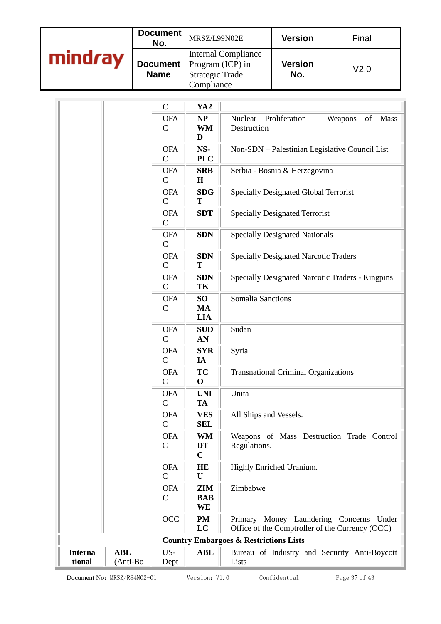|      | Document<br>No.           | MRSZ/L99N02E                                                                           | <b>Version</b>        | Final |
|------|---------------------------|----------------------------------------------------------------------------------------|-----------------------|-------|
| Irav | Document  <br><b>Name</b> | <b>Internal Compliance</b><br>Program (ICP) in<br><b>Strategic Trade</b><br>Compliance | <b>Version</b><br>No. | V2.0  |

|                          |                        | $\mathsf{C}$                | YA <sub>2</sub>                            |                                                                                            |
|--------------------------|------------------------|-----------------------------|--------------------------------------------|--------------------------------------------------------------------------------------------|
|                          |                        | <b>OFA</b><br>$\mathbf C$   | NP<br><b>WM</b><br>D                       | Proliferation<br>Nuclear<br>Weapons<br>of<br>Mass<br>Destruction                           |
|                          |                        | <b>OFA</b><br>$\mathsf{C}$  | NS-<br><b>PLC</b>                          | Non-SDN - Palestinian Legislative Council List                                             |
|                          |                        | <b>OFA</b><br>$\mathsf{C}$  | <b>SRB</b><br>$\mathbf H$                  | Serbia - Bosnia & Herzegovina                                                              |
|                          |                        | <b>OFA</b><br>$\mathcal{C}$ | <b>SDG</b><br>T                            | Specially Designated Global Terrorist                                                      |
|                          |                        | <b>OFA</b><br>$\mathcal{C}$ | <b>SDT</b>                                 | <b>Specially Designated Terrorist</b>                                                      |
|                          |                        | <b>OFA</b><br>$\mathsf{C}$  | <b>SDN</b>                                 | <b>Specially Designated Nationals</b>                                                      |
|                          |                        | <b>OFA</b><br>$\mathsf{C}$  | <b>SDN</b><br>T                            | <b>Specially Designated Narcotic Traders</b>                                               |
|                          |                        | <b>OFA</b><br>$\mathsf{C}$  | <b>SDN</b><br>TK                           | Specially Designated Narcotic Traders - Kingpins                                           |
|                          |                        | <b>OFA</b><br>$\mathsf{C}$  | SO <sub>1</sub><br><b>MA</b><br><b>LIA</b> | <b>Somalia Sanctions</b>                                                                   |
|                          |                        | <b>OFA</b><br>$\mathbf C$   | <b>SUD</b><br>AN                           | Sudan                                                                                      |
|                          |                        | <b>OFA</b><br>$\mathbf C$   | <b>SYR</b><br>IA                           | Syria                                                                                      |
|                          |                        | <b>OFA</b><br>$\mathsf{C}$  | <b>TC</b><br>$\mathbf 0$                   | <b>Transnational Criminal Organizations</b>                                                |
|                          |                        | <b>OFA</b><br>$\mathsf{C}$  | <b>UNI</b><br><b>TA</b>                    | Unita                                                                                      |
|                          |                        | <b>OFA</b><br>$\mathcal{C}$ | <b>VES</b><br><b>SEL</b>                   | All Ships and Vessels.                                                                     |
|                          |                        | <b>OFA</b><br>$\mathsf{C}$  | WM<br><b>DT</b><br>$\mathbf C$             | Weapons of Mass Destruction Trade Control<br>Regulations.                                  |
|                          |                        | <b>OFA</b><br>$\mathsf{C}$  | HE<br>$\mathbf U$                          | Highly Enriched Uranium.                                                                   |
|                          |                        | <b>OFA</b><br>$\mathsf{C}$  | <b>ZIM</b><br><b>BAB</b><br>WE             | Zimbabwe                                                                                   |
|                          |                        | OCC                         | <b>PM</b><br>LC                            | Primary Money Laundering Concerns Under<br>Office of the Comptroller of the Currency (OCC) |
|                          |                        |                             |                                            | <b>Country Embargoes &amp; Restrictions Lists</b>                                          |
| <b>Interna</b><br>tional | <b>ABL</b><br>(Anti-Bo | US-<br>Dept                 | <b>ABL</b>                                 | Bureau of Industry and Security Anti-Boycott<br>Lists                                      |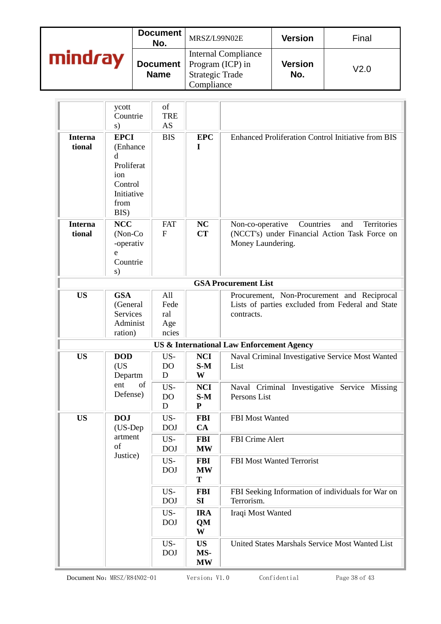|         | Document<br>No.                | MRSZ/L99N02E                                                                           | <b>Version</b>        | Final |
|---------|--------------------------------|----------------------------------------------------------------------------------------|-----------------------|-------|
| mindray | <b>Document</b><br><b>Name</b> | <b>Internal Compliance</b><br>Program (ICP) in<br><b>Strategic Trade</b><br>Compliance | <b>Version</b><br>No. | V2.0  |

|                          | ycott<br>Countrie<br>s)                                                                    | of<br><b>TRE</b><br><b>AS</b>      |                                  |                                                                                                                           |  |  |  |  |
|--------------------------|--------------------------------------------------------------------------------------------|------------------------------------|----------------------------------|---------------------------------------------------------------------------------------------------------------------------|--|--|--|--|
| <b>Interna</b><br>tional | <b>EPCI</b><br>(Enhance<br>d<br>Proliferat<br>ion<br>Control<br>Initiative<br>from<br>BIS) | <b>BIS</b>                         | <b>EPC</b><br>I                  | <b>Enhanced Proliferation Control Initiative from BIS</b>                                                                 |  |  |  |  |
| <b>Interna</b><br>tional | <b>NCC</b><br>(Non-Co<br>-operativ<br>e<br>Countrie<br>s)                                  | <b>FAT</b><br>F                    | NC<br>CT                         | Countries<br>Non-co-operative<br>Territories<br>and<br>(NCCT's) under Financial Action Task Force on<br>Money Laundering. |  |  |  |  |
|                          | <b>GSA Procurement List</b>                                                                |                                    |                                  |                                                                                                                           |  |  |  |  |
| <b>US</b>                | <b>GSA</b><br>(General<br>Services<br>Administ<br>ration)                                  | All<br>Fede<br>ral<br>Age<br>ncies |                                  | Procurement, Non-Procurement and Reciprocal<br>Lists of parties excluded from Federal and State<br>contracts.             |  |  |  |  |
|                          |                                                                                            |                                    |                                  | US & International Law Enforcement Agency                                                                                 |  |  |  |  |
| <b>US</b>                | <b>DOD</b><br>(US<br>Departm                                                               | US-<br>DO<br>$\mathbf D$           | <b>NCI</b><br>$S-M$<br>W         | Naval Criminal Investigative Service Most Wanted<br>List                                                                  |  |  |  |  |
|                          | of<br>ent<br>Defense)                                                                      | US-<br>DO<br>D                     | <b>NCI</b><br>$S-M$<br>${\bf P}$ | Naval Criminal Investigative Service Missing<br>Persons List                                                              |  |  |  |  |
| <b>US</b>                | <b>DOJ</b><br>(US-Dep                                                                      | US-<br><b>DOJ</b>                  | <b>FBI</b><br>CA                 | <b>FBI</b> Most Wanted                                                                                                    |  |  |  |  |
|                          | artment<br>of<br>Justice)                                                                  | US-<br><b>DOJ</b>                  | <b>FBI</b><br><b>MW</b>          | FBI Crime Alert                                                                                                           |  |  |  |  |
|                          |                                                                                            | US-<br><b>DOJ</b>                  | <b>FBI</b><br><b>MW</b><br>T     | FBI Most Wanted Terrorist                                                                                                 |  |  |  |  |
|                          |                                                                                            | US-<br><b>DOJ</b>                  | <b>FBI</b><br><b>SI</b>          | FBI Seeking Information of individuals for War on<br>Terrorism.                                                           |  |  |  |  |
|                          |                                                                                            | US-<br><b>DOJ</b>                  | <b>IRA</b><br>QM<br>W            | Iraqi Most Wanted                                                                                                         |  |  |  |  |
|                          |                                                                                            | US-<br><b>DOJ</b>                  | <b>US</b><br>MS-<br><b>MW</b>    | United States Marshals Service Most Wanted List                                                                           |  |  |  |  |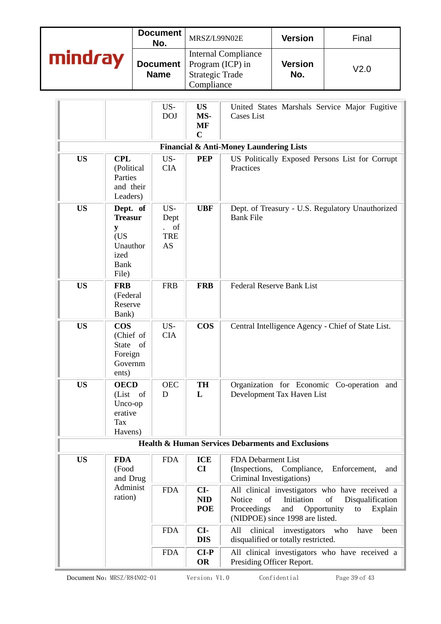|  | mindray                                                             |                                                                              | <b>Document</b><br>No.<br><b>Document</b><br><b>Name</b> |                                                              | MRSZ/L99N02E                                                                           |                                                                                                                                                                                                        | <b>Version</b>                                                                          | Final                                                    |
|--|---------------------------------------------------------------------|------------------------------------------------------------------------------|----------------------------------------------------------|--------------------------------------------------------------|----------------------------------------------------------------------------------------|--------------------------------------------------------------------------------------------------------------------------------------------------------------------------------------------------------|-----------------------------------------------------------------------------------------|----------------------------------------------------------|
|  |                                                                     |                                                                              |                                                          |                                                              | <b>Internal Compliance</b><br>Program (ICP) in<br><b>Strategic Trade</b><br>Compliance |                                                                                                                                                                                                        | <b>Version</b><br>No.                                                                   | V <sub>2.0</sub>                                         |
|  |                                                                     |                                                                              |                                                          | US-<br><b>DOJ</b>                                            | <b>US</b><br>MS-<br><b>MF</b><br>$\mathbf C$                                           | <b>Cases List</b>                                                                                                                                                                                      |                                                                                         | United States Marshals Service Major Fugitive            |
|  |                                                                     |                                                                              |                                                          |                                                              |                                                                                        | <b>Financial &amp; Anti-Money Laundering Lists</b>                                                                                                                                                     |                                                                                         |                                                          |
|  | <b>US</b>                                                           | <b>CPL</b><br>(Political<br>Parties<br>and their<br>Leaders)                 |                                                          | US-<br><b>CIA</b>                                            | <b>PEP</b>                                                                             | Practices                                                                                                                                                                                              |                                                                                         | US Politically Exposed Persons List for Corrupt          |
|  | <b>US</b>                                                           | Dept. of<br><b>Treasur</b><br>y<br>(US)<br>Unauthor<br>ized<br>Bank<br>File) |                                                          | US-<br>Dept<br>of<br>$\mathbf{r}$<br><b>TRE</b><br><b>AS</b> | <b>UBF</b>                                                                             | Dept. of Treasury - U.S. Regulatory Unauthorized<br><b>Bank File</b>                                                                                                                                   |                                                                                         |                                                          |
|  | <b>US</b>                                                           | <b>FRB</b><br>(Federal<br>Reserve<br>Bank)                                   |                                                          | <b>FRB</b>                                                   | <b>FRB</b>                                                                             | <b>Federal Reserve Bank List</b>                                                                                                                                                                       |                                                                                         |                                                          |
|  | <b>US</b>                                                           | <b>COS</b><br>(Chief of<br><b>State</b><br>of<br>Foreign<br>Governm<br>ents) |                                                          | US-<br><b>CIA</b>                                            | <b>COS</b>                                                                             |                                                                                                                                                                                                        |                                                                                         | Central Intelligence Agency - Chief of State List.       |
|  | <b>US</b>                                                           | <b>OECD</b><br>(List of<br>Unco-op<br>erative<br><b>Tax</b><br>Havens)       |                                                          | <b>OEC</b><br>D                                              | <b>TH</b><br>L                                                                         |                                                                                                                                                                                                        | Development Tax Haven List                                                              | Organization for Economic Co-operation and               |
|  |                                                                     |                                                                              |                                                          |                                                              |                                                                                        |                                                                                                                                                                                                        | <b>Health &amp; Human Services Debarments and Exclusions</b>                            |                                                          |
|  | <b>US</b><br><b>FDA</b><br>(Food<br>and Drug<br>Administ<br>ration) |                                                                              |                                                          | <b>FDA</b><br><b>FDA</b>                                     | <b>ICE</b><br>CI<br>CI-<br><b>NID</b><br><b>POE</b>                                    | FDA Debarment List<br>(Inspections, Compliance,<br>Criminal Investigations)<br>All clinical investigators who have received a<br>of<br>Notice<br>of<br>Initiation<br>Proceedings<br>and<br>Opportunity |                                                                                         | Enforcement,<br>and<br>Disqualification<br>Explain<br>to |
|  |                                                                     |                                                                              |                                                          | <b>FDA</b>                                                   | CI-<br><b>DIS</b>                                                                      | clinical<br>All                                                                                                                                                                                        | (NIDPOE) since 1998 are listed.<br>investigators<br>disqualified or totally restricted. | who<br>have<br>been                                      |
|  |                                                                     |                                                                              |                                                          | <b>FDA</b>                                                   | $CI-P$<br><b>OR</b>                                                                    | Presiding Officer Report.                                                                                                                                                                              |                                                                                         | All clinical investigators who have received a           |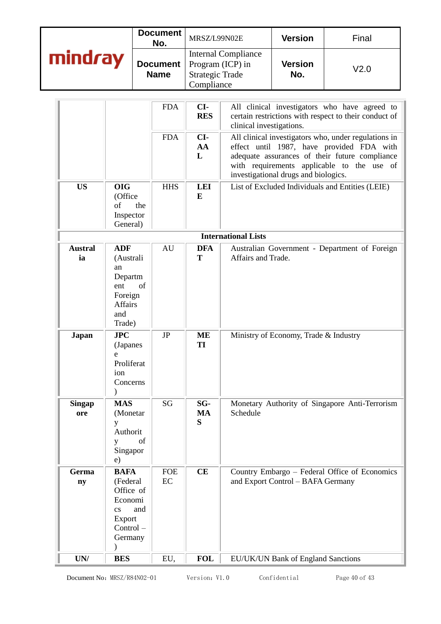|         | Document<br>No.                | MRSZ/L99N02E                                                                           | <b>Version</b>        | Final |
|---------|--------------------------------|----------------------------------------------------------------------------------------|-----------------------|-------|
| mindray | <b>Document</b><br><b>Name</b> | <b>Internal Compliance</b><br>Program (ICP) in<br><b>Strategic Trade</b><br>Compliance | <b>Version</b><br>No. | V2.0  |

|                                 |                                                                                                                   | <b>FDA</b>       | CI-<br><b>RES</b>     | All clinical investigators who have agreed to<br>certain restrictions with respect to their conduct of<br>clinical investigations.                                                                                                        |  |  |  |
|---------------------------------|-------------------------------------------------------------------------------------------------------------------|------------------|-----------------------|-------------------------------------------------------------------------------------------------------------------------------------------------------------------------------------------------------------------------------------------|--|--|--|
|                                 |                                                                                                                   | <b>FDA</b>       | CI-<br>AA<br>L        | All clinical investigators who, under regulations in<br>effect until 1987, have provided FDA with<br>adequate assurances of their future compliance<br>with requirements applicable to the use of<br>investigational drugs and biologics. |  |  |  |
| <b>US</b>                       | <b>OIG</b><br>(Office<br>of<br>the<br>Inspector<br>General)                                                       | <b>HHS</b>       | <b>LEI</b><br>E       | List of Excluded Individuals and Entities (LEIE)                                                                                                                                                                                          |  |  |  |
|                                 | <b>International Lists</b>                                                                                        |                  |                       |                                                                                                                                                                                                                                           |  |  |  |
| <b>Austral</b><br>ia            | <b>ADF</b><br>(Australi<br>an<br>Departm<br>of<br>ent<br>Foreign<br>Affairs<br>and<br>Trade)                      | AU               | <b>DFA</b><br>T       | Australian Government - Department of Foreign<br>Affairs and Trade.                                                                                                                                                                       |  |  |  |
| <b>Japan</b>                    | JPC<br>(Japanes<br>e<br>Proliferat<br>ion<br>Concerns                                                             | JP               | <b>ME</b><br>TI       | Ministry of Economy, Trade & Industry                                                                                                                                                                                                     |  |  |  |
| <b>Singap</b><br>ore            | <b>MAS</b><br>(Monetar<br>у<br>Authorit<br>of<br>У<br>Singapor<br>e)                                              | SG               | SG-<br><b>MA</b><br>S | Monetary Authority of Singapore Anti-Terrorism<br>Schedule                                                                                                                                                                                |  |  |  |
| Germa<br>ny                     | <b>BAFA</b><br>(Federal<br>Office of<br>Economi<br>and<br>$\mathbf{c}\mathbf{s}$<br>Export<br>Control-<br>Germany | <b>FOE</b><br>EC | CE                    | Country Embargo - Federal Office of Economics<br>and Export Control - BAFA Germany                                                                                                                                                        |  |  |  |
| $\ensuremath{\text{UN}}\xspace$ | <b>BES</b>                                                                                                        | EU,              | <b>FOL</b>            | EU/UK/UN Bank of England Sanctions                                                                                                                                                                                                        |  |  |  |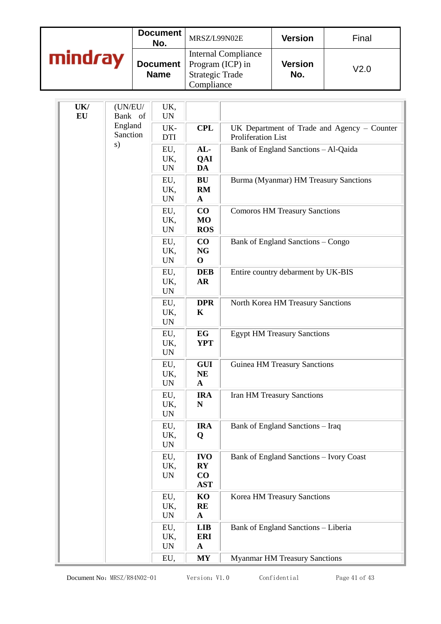|         | Document<br>No.                | MRSZ/L99N02E                                                                           | <b>Version</b>        | Final            |
|---------|--------------------------------|----------------------------------------------------------------------------------------|-----------------------|------------------|
| mindray | <b>Document</b><br><b>Name</b> | <b>Internal Compliance</b><br>Program (ICP) in<br><b>Strategic Trade</b><br>Compliance | <b>Version</b><br>No. | V <sub>2.0</sub> |

| UK/<br>(UN/EU/<br>EU<br>Bank of | UK,<br>$\ensuremath{\text{UN}}$        |                                                                |                                                |                                                                   |
|---------------------------------|----------------------------------------|----------------------------------------------------------------|------------------------------------------------|-------------------------------------------------------------------|
|                                 | England<br>Sanction                    | UK-<br><b>DTI</b>                                              | <b>CPL</b>                                     | UK Department of Trade and Agency - Counter<br>Proliferation List |
| s)                              | EU,<br>UK,<br>$\ensuremath{\text{UN}}$ | AL-<br>QAI<br>DA                                               | Bank of England Sanctions - Al-Qaida           |                                                                   |
|                                 | EU,<br>UK,<br><b>UN</b>                | BU<br>RM<br>$\mathbf{A}$                                       | Burma (Myanmar) HM Treasury Sanctions          |                                                                   |
|                                 | EU,<br>UK,<br>$\ensuremath{\text{UN}}$ | $\bf CO$<br><b>MO</b><br><b>ROS</b>                            | <b>Comoros HM Treasury Sanctions</b>           |                                                                   |
|                                 |                                        | EU,<br>UK,<br><b>UN</b>                                        | $\bf CO$<br><b>NG</b><br>$\mathbf{O}$          | Bank of England Sanctions - Congo                                 |
|                                 | EU,<br>UK,<br><b>UN</b>                | <b>DEB</b><br>AR                                               | Entire country debarment by UK-BIS             |                                                                   |
|                                 | EU,<br>UK,<br>$\ensuremath{\text{UN}}$ | <b>DPR</b><br>K                                                | North Korea HM Treasury Sanctions              |                                                                   |
|                                 | EU,<br>UK,<br><b>UN</b>                | EG<br><b>YPT</b>                                               | <b>Egypt HM Treasury Sanctions</b>             |                                                                   |
|                                 | EU,<br>UK,<br><b>UN</b>                | <b>GUI</b><br><b>NE</b><br>$\mathbf{A}$                        | <b>Guinea HM Treasury Sanctions</b>            |                                                                   |
|                                 |                                        | EU,<br>UK,<br><b>UN</b>                                        | <b>IRA</b><br>${\bf N}$                        | <b>Iran HM Treasury Sanctions</b>                                 |
|                                 | EU,<br>UK,<br><b>UN</b>                | <b>IRA</b><br>Q                                                | Bank of England Sanctions - Iraq               |                                                                   |
|                                 | EU,<br>UK,<br><b>UN</b>                | <b>IVO</b><br>$\mathbf{R}\mathbf{Y}$<br>$\bf CO$<br><b>AST</b> | <b>Bank of England Sanctions - Ivory Coast</b> |                                                                   |
|                                 | EU,<br>UK,<br>$\ensuremath{\text{UN}}$ | KO<br>RE<br>$\mathbf{A}$                                       | Korea HM Treasury Sanctions                    |                                                                   |
|                                 |                                        | EU,<br>UK,<br>$\ensuremath{\text{UN}}$                         | <b>LIB</b><br><b>ERI</b><br>$\mathbf{A}$       | Bank of England Sanctions - Liberia                               |
|                                 |                                        | EU,                                                            | <b>MY</b>                                      | <b>Myanmar HM Treasury Sanctions</b>                              |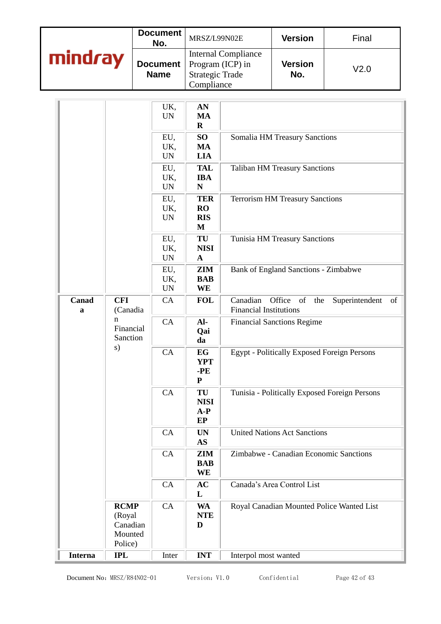|         | Document<br>No.                | MRSZ/L99N02E                                                                           | <b>Version</b>        | Final |
|---------|--------------------------------|----------------------------------------------------------------------------------------|-----------------------|-------|
| mindray | <b>Document</b><br><b>Name</b> | <b>Internal Compliance</b><br>Program (ICP) in<br><b>Strategic Trade</b><br>Compliance | <b>Version</b><br>No. | V2.0  |

|                |                                                         | UK,<br><b>UN</b>                       | AN<br>MA<br>$\mathbf R$                    |                                                                                          |  |
|----------------|---------------------------------------------------------|----------------------------------------|--------------------------------------------|------------------------------------------------------------------------------------------|--|
|                |                                                         | EU,<br>UK,<br><b>UN</b>                | SO <sub>1</sub><br>MA<br><b>LIA</b>        | Somalia HM Treasury Sanctions                                                            |  |
|                |                                                         | EU,<br>UK,<br><b>UN</b>                | <b>TAL</b><br><b>IBA</b><br>${\bf N}$      | <b>Taliban HM Treasury Sanctions</b>                                                     |  |
|                |                                                         | EU,<br>UK,<br><b>UN</b>                | <b>TER</b><br><b>RO</b><br><b>RIS</b><br>M | <b>Terrorism HM Treasury Sanctions</b>                                                   |  |
|                |                                                         | EU,<br>UK,<br>$\ensuremath{\text{UN}}$ | TU<br><b>NISI</b><br>$\mathbf{A}$          | Tunisia HM Treasury Sanctions                                                            |  |
|                |                                                         | EU,<br>UK,<br><b>UN</b>                | <b>ZIM</b><br><b>BAB</b><br>WE             | Bank of England Sanctions - Zimbabwe                                                     |  |
| Canad<br>a     | <b>CFI</b><br>(Canadia                                  | CA                                     | <b>FOL</b>                                 | Canadian<br>Office<br>of<br>the<br>Superintendent<br>of<br><b>Financial Institutions</b> |  |
|                | $\mathbf n$<br>Financial<br>Sanction                    | CA                                     | Al-<br>Qai<br>da                           | <b>Financial Sanctions Regime</b>                                                        |  |
|                | s)                                                      | CA                                     | EG<br><b>YPT</b><br>$-PE$<br>${\bf P}$     | <b>Egypt - Politically Exposed Foreign Persons</b>                                       |  |
|                |                                                         | CA                                     | TU<br><b>NISI</b><br>$A-P$<br>EP           | Tunisia - Politically Exposed Foreign Persons                                            |  |
|                |                                                         | CA                                     | <b>UN</b><br><b>AS</b>                     | <b>United Nations Act Sanctions</b>                                                      |  |
|                |                                                         | CA                                     | ZIM<br><b>BAB</b><br><b>WE</b>             | Zimbabwe - Canadian Economic Sanctions                                                   |  |
|                |                                                         | CA                                     | AC<br>L                                    | Canada's Area Control List                                                               |  |
|                | <b>RCMP</b><br>(Royal<br>Canadian<br>Mounted<br>Police) | CA                                     | <b>WA</b><br><b>NTE</b><br>D               | Royal Canadian Mounted Police Wanted List                                                |  |
| <b>Interna</b> | <b>IPL</b>                                              | Inter                                  | <b>INT</b>                                 | Interpol most wanted                                                                     |  |